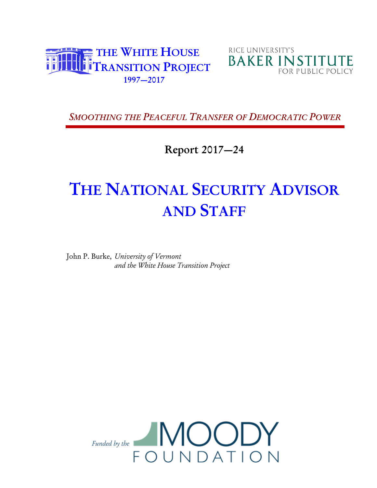



<span id="page-0-0"></span>*SMOOTHING THE PEACEFUL TRANSFER OF DEMOCRATIC POWER*

Report 2017—24

# THE NATIONAL SECURITY ADVISOR AND STAFF

<span id="page-0-1"></span>John P. Burke, *University of Vermont and the White House Transition Project*

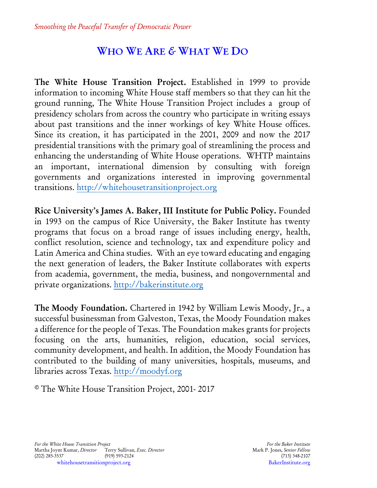# WHO WE ARE *&* WHAT WE DO

<span id="page-1-0"></span>The White House Transition Project. Established in 1999 to provide information to incoming White House staff members so that they can hit the ground running, The White House Transition Project includes a group of presidency scholars from across the country who participate in writing essays about past transitions and the inner workings of key White House offices. Since its creation, it has participated in the 2001, 2009 and now the 2017 presidential transitions with the primary goal of streamlining the process and enhancing the understanding of White House operations. WHTP maintains an important, international dimension by consulting with foreign governments and organizations interested in improving governmental transitions. [http://whitehousetransitionproject.org](http://whitehousetransitionproject.org/)

Rice University's James A. Baker, III Institute for Public Policy. Founded in 1993 on the campus of Rice University, the Baker Institute has twenty programs that focus on a broad range of issues including energy, health, conflict resolution, science and technology, tax and expenditure policy and Latin America and China studies. With an eye toward educating and engaging the next generation of leaders, the Baker Institute collaborates with experts from academia, government, the media, business, and nongovernmental and private organizations. [http://bakerinstitute.org](http://bakerinstitute.org/)

The Moody Foundation. Chartered in 1942 by William Lewis Moody, Jr., a successful businessman from Galveston, Texas, the Moody Foundation makes a difference for the people of Texas. The Foundation makes grants for projects focusing on the arts, humanities, religion, education, social services, community development, and health. In addition, the Moody Foundation has contributed to the building of many universities, hospitals, museums, and libraries across Texas. [http://moodyf.org](http://moodyf.org/)

© The White House Transition Project, 2001- 2017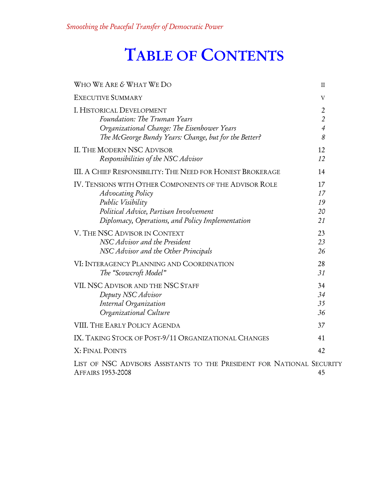# TABLE OF CONTENTS

| WHO WE ARE & WHAT WE DO                                                                                                                                                                               | $\mathbf{I}$                                            |
|-------------------------------------------------------------------------------------------------------------------------------------------------------------------------------------------------------|---------------------------------------------------------|
| <b>EXECUTIVE SUMMARY</b>                                                                                                                                                                              | V                                                       |
| I. HISTORICAL DEVELOPMENT<br>Foundation: The Truman Years<br>Organizational Change: The Eisenhower Years<br>The McGeorge Bundy Years: Change, but for the Better?                                     | $\overline{2}$<br>$\overline{2}$<br>$\overline{4}$<br>8 |
| <b>II. THE MODERN NSC ADVISOR</b><br>Responsibilities of the NSC Advisor                                                                                                                              | 12<br>12                                                |
| III. A CHIEF RESPONSIBILITY: THE NEED FOR HONEST BROKERAGE                                                                                                                                            | 14                                                      |
| IV. TENSIONS WITH OTHER COMPONENTS OF THE ADVISOR ROLE<br><b>Advocating Policy</b><br>Public Visibility<br>Political Advice, Partisan Involvement<br>Diplomacy, Operations, and Policy Implementation | 17<br>17<br>19<br>20<br>21                              |
| V. THE NSC ADVISOR IN CONTEXT<br>NSC Advisor and the President<br>NSC Advisor and the Other Principals                                                                                                | 23<br>23<br>26                                          |
| VI: INTERAGENCY PLANNING AND COORDINATION<br>The "Scowcroft Model"                                                                                                                                    | 28<br>31                                                |
| VII. NSC ADVISOR AND THE NSC STAFF<br>Deputy NSC Advisor<br>Internal Organization<br>Organizational Culture                                                                                           | 34<br>34<br>35<br>36                                    |
| VIII. THE EARLY POLICY AGENDA                                                                                                                                                                         | 37                                                      |
| IX. TAKING STOCK OF POST-9/11 ORGANIZATIONAL CHANGES                                                                                                                                                  | 41                                                      |
| X: FINAL POINTS                                                                                                                                                                                       | 42                                                      |
| LIST OF NSC ADVISORS ASSISTANTS TO THE PRESIDENT FOR NATIONAL SECURITY<br><b>AFFAIRS 1953-2008</b>                                                                                                    | 45                                                      |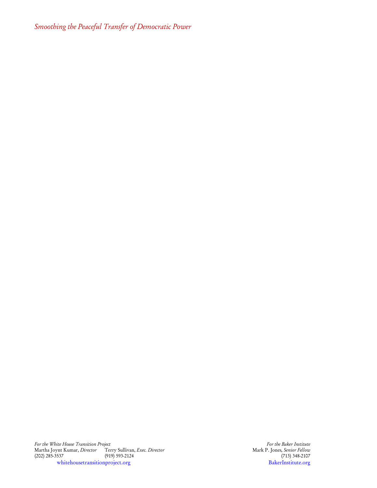*Smoothing the Peaceful Transfer of Democratic Power*

*For the White House Transition Project For the Baker Institute* Martha Joynt Kumar, *Director* Terry Sullivan, *Exec. Director* Mark P. Jones*, Senior Fellow* (202) 285-3537 (919) 593-2124 (713) 348-2107 whitehousetransitionproject.org BakerInstitute.org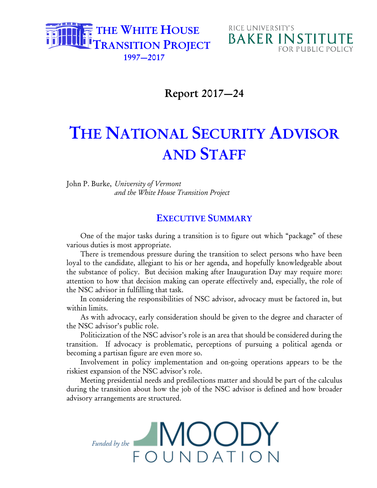



# [Report 2017—24](#page-0-0)

# [THE NATIONAL SECURITY ADVISOR](#page-0-0)  [AND STAFF](#page-0-0)

John P. Burke, *[University of Vermont](#page-0-1) [and the White House Transition Project](#page-0-1)*

## <span id="page-4-0"></span>EXECUTIVE SUMMARY

One of the major tasks during a transition is to figure out which "package" of these various duties is most appropriate.

There is tremendous pressure during the transition to select persons who have been loyal to the candidate, allegiant to his or her agenda, and hopefully knowledgeable about the substance of policy. But decision making after Inauguration Day may require more: attention to how that decision making can operate effectively and, especially, the role of the NSC advisor in fulfilling that task.

In considering the responsibilities of NSC advisor, advocacy must be factored in, but within limits.

As with advocacy, early consideration should be given to the degree and character of the NSC advisor's public role.

Politicization of the NSC advisor's role is an area that should be considered during the transition. If advocacy is problematic, perceptions of pursuing a political agenda or becoming a partisan figure are even more so.

Involvement in policy implementation and on-going operations appears to be the riskiest expansion of the NSC advisor's role.

Meeting presidential needs and predilections matter and should be part of the calculus during the transition about how the job of the NSC advisor is defined and how broader advisory arrangements are structured.

*Funded by the* FOUNDATION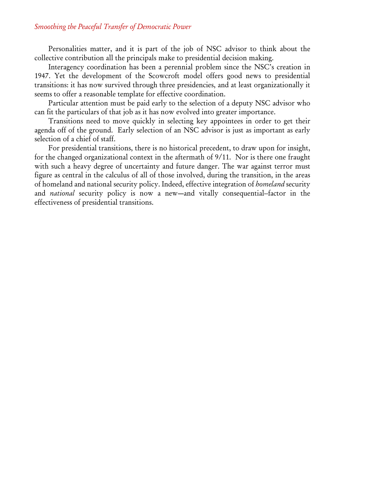#### *Smoothing the Peaceful Transfer of Democratic Power*

Personalities matter, and it is part of the job of NSC advisor to think about the collective contribution all the principals make to presidential decision making.

Interagency coordination has been a perennial problem since the NSC's creation in 1947. Yet the development of the Scowcroft model offers good news to presidential transitions: it has now survived through three presidencies, and at least organizationally it seems to offer a reasonable template for effective coordination.

Particular attention must be paid early to the selection of a deputy NSC advisor who can fit the particulars of that job as it has now evolved into greater importance.

Transitions need to move quickly in selecting key appointees in order to get their agenda off of the ground. Early selection of an NSC advisor is just as important as early selection of a chief of staff.

For presidential transitions, there is no historical precedent, to draw upon for insight, for the changed organizational context in the aftermath of 9/11. Nor is there one fraught with such a heavy degree of uncertainty and future danger. The war against terror must figure as central in the calculus of all of those involved, during the transition, in the areas of homeland and national security policy. Indeed, effective integration of *homeland* security and *national* security policy is now a new—and vitally consequential--factor in the effectiveness of presidential transitions.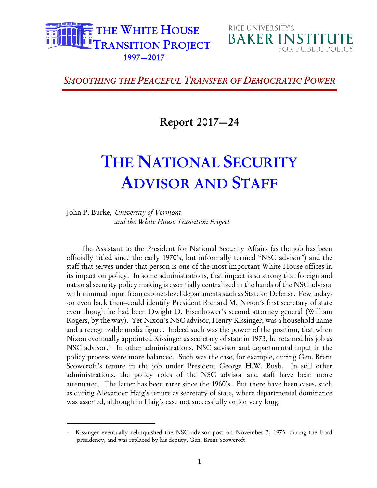THE WHITE HOUSE TRANSITION PROJECT 1997—2017



# *SMOOTHING THE PEACEFUL TRANSFER OF DEMOCRATIC POWER*

[Report 2017—24](#page-0-0)

# [THE NATIONAL SECURITY](#page-0-0)  [ADVISOR AND STAFF](#page-0-0)

John P. Burke, *[University of Vermont](#page-0-1) [and the White House Transition Project](#page-0-1)*

The Assistant to the President for National Security Affairs (as the job has been officially titled since the early 1970's, but informally termed "NSC advisor") and the staff that serves under that person is one of the most important White House offices in its impact on policy. In some administrations, that impact is so strong that foreign and national security policy making is essentially centralized in the hands of the NSC advisor with minimal input from cabinet-level departments such as State or Defense. Few today- -or even back then--could identify President Richard M. Nixon's first secretary of state even though he had been Dwight D. Eisenhower's second attorney general (William Rogers, by the way). Yet Nixon's NSC advisor, Henry Kissinger, was a household name and a recognizable media figure. Indeed such was the power of the position, that when Nixon eventually appointed Kissinger as secretary of state in 1973, he retained his job as NSC advisor.[1](#page-6-0) In other administrations, NSC advisor and departmental input in the policy process were more balanced. Such was the case, for example, during Gen. Brent Scowcroft's tenure in the job under President George H.W. Bush. In still other administrations, the policy roles of the NSC advisor and staff have been more attenuated. The latter has been rarer since the 1960's. But there have been cases, such as during Alexander Haig's tenure as secretary of state, where departmental dominance was asserted, although in Haig's case not successfully or for very long.

<span id="page-6-0"></span> <sup>1.</sup> Kissinger eventually relinquished the NSC advisor post on November 3, 1975, during the Ford presidency, and was replaced by his deputy, Gen. Brent Scowcroft.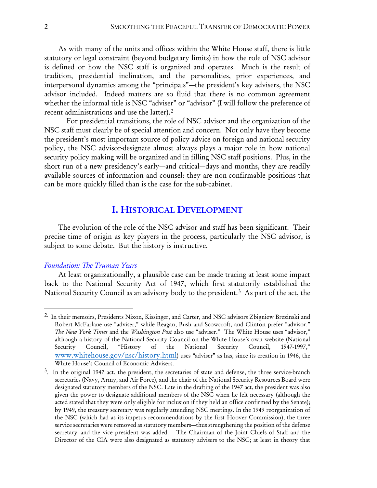As with many of the units and offices within the White House staff, there is little statutory or legal constraint (beyond budgetary limits) in how the role of NSC advisor is defined or how the NSC staff is organized and operates. Much is the result of tradition, presidential inclination, and the personalities, prior experiences, and interpersonal dynamics among the "principals"—the president's key advisers, the NSC advisor included. Indeed matters are so fluid that there is no common agreement whether the informal title is NSC "adviser" or "advisor" (I will follow the preference of recent administrations and use the latter).[2](#page-7-2) 

For presidential transitions, the role of NSC advisor and the organization of the NSC staff must clearly be of special attention and concern. Not only have they become the president's most important source of policy advice on foreign and national security policy, the NSC advisor-designate almost always plays a major role in how national security policy making will be organized and in filling NSC staff positions. Plus, in the short run of a new presidency's early—and critical—days and months, they are readily available sources of information and counsel: they are non-confirmable positions that can be more quickly filled than is the case for the sub-cabinet.

### I. HISTORICAL DEVELOPMENT

<span id="page-7-0"></span>The evolution of the role of the NSC advisor and staff has been significant. Their precise time of origin as key players in the process, particularly the NSC advisor, is subject to some debate. But the history is instructive.

#### <span id="page-7-1"></span>*Foundation: The Truman Years*

At least organizationally, a plausible case can be made tracing at least some impact back to the National Security Act of 1947, which first statutorily established the National Security Council as an advisory body to the president.[3](#page-7-3) As part of the act, the

<span id="page-7-2"></span> <sup>2.</sup> In their memoirs, Presidents Nixon, Kissinger, and Carter, and NSC advisors Zbigniew Brezinski and Robert McFarlane use "adviser," while Reagan, Bush and Scowcroft, and Clinton prefer "advisor." *The New York Times* and the *Washington Post* also use "adviser." The White House uses "advisor," although a history of the National Security Council on the White House's own website (National Security Council, "History of the National Security Council, 1947-1997," [www.whitehouse.gov/nsc/history.html\)](http://www.whitehouse.gov/nsc/history.html) uses "adviser" as has, since its creation in 1946, the White House's Council of Economic Advisers.

<span id="page-7-3"></span><sup>3.</sup> In the original 1947 act, the president, the secretaries of state and defense, the three service-branch secretaries (Navy, Army, and Air Force), and the chair of the National Security Resources Board were designated statutory members of the NSC. Late in the drafting of the 1947 act, the president was also given the power to designate additional members of the NSC when he felt necessary (although the acted stated that they were only eligible for inclusion if they held an office confirmed by the Senate); by 1949, the treasury secretary was regularly attending NSC meetings. In the 1949 reorganization of the NSC (which had as its impetus recommendations by the first Hoover Commission), the three service secretaries were removed as statutory members—thus strengthening the position of the defense secretary--and the vice president was added. The Chairman of the Joint Chiefs of Staff and the Director of the CIA were also designated as statutory advisers to the NSC; at least in theory that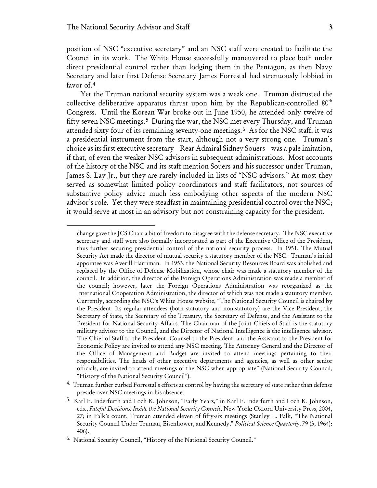$\overline{a}$ 

position of NSC "executive secretary" and an NSC staff were created to facilitate the Council in its work. The White House successfully maneuvered to place both under direct presidential control rather than lodging them in the Pentagon, as then Navy Secretary and later first Defense Secretary James Forrestal had strenuously lobbied in favor of.[4](#page-8-0)

Yet the Truman national security system was a weak one. Truman distrusted the collective deliberative apparatus thrust upon him by the Republican-controlled  $80<sup>th</sup>$ Congress. Until the Korean War broke out in June 1950, he attended only twelve of fifty-seven NSC meetings.[5](#page-8-1) During the war, the NSC met every Thursday, and Truman attended sixty four of its remaining seventy-one meetings.[6](#page-8-2) As for the NSC staff, it was a presidential instrument from the start, although not a very strong one. Truman's choice as its first executive secretary—Rear Admiral Sidney Souers—was a pale imitation, if that, of even the weaker NSC advisors in subsequent administrations. Most accounts of the history of the NSC and its staff mention Souers and his successor under Truman, James S. Lay Jr., but they are rarely included in lists of "NSC advisors." At most they served as somewhat limited policy coordinators and staff facilitators, not sources of substantive policy advice much less embodying other aspects of the modern NSC advisor's role. Yet they were steadfast in maintaining presidential control over the NSC; it would serve at most in an advisory but not constraining capacity for the president.

change gave the JCS Chair a bit of freedom to disagree with the defense secretary. The NSC executive secretary and staff were also formally incorporated as part of the Executive Office of the President, thus further securing presidential control of the national security process. In 1951, The Mutual Security Act made the director of mutual security a statutory member of the NSC. Truman's initial appointee was Averill Harriman. In 1953, the National Security Resources Board was abolished and replaced by the Office of Defense Mobilization, whose chair was made a statutory member of the council. In addition, the director of the Foreign Operations Administration was made a member of the council; however, later the Foreign Operations Administration was reorganized as the International Cooperation Administration, the director of which was not made a statutory member. Currently, according the NSC's White House website, "The National Security Council is chaired by the President. Its regular attendees (both statutory and non-statutory) are the Vice President, the Secretary of State, the Secretary of the Treasury, the Secretary of Defense, and the Assistant to the President for National Security Affairs. The Chairman of the Joint Chiefs of Staff is the statutory military advisor to the Council, and the Director of National Intelligence is the intelligence advisor. The Chief of Staff to the President, Counsel to the President, and the Assistant to the President for Economic Policy are invited to attend any NSC meeting. The Attorney General and the Director of the Office of Management and Budget are invited to attend meetings pertaining to their responsibilities. The heads of other executive departments and agencies, as well as other senior officials, are invited to attend meetings of the NSC when appropriate" (National Security Council, "History of the National Security Council").

<span id="page-8-0"></span><sup>&</sup>lt;sup>4.</sup> Truman further curbed Forrestal's efforts at control by having the secretary of state rather than defense preside over NSC meetings in his absence.

<span id="page-8-1"></span><sup>5.</sup> Karl F. Inderfurth and Loch K. Johnson, "Early Years," in Karl F. Inderfurth and Loch K. Johnson, eds., *Fateful Decisions: Inside the National Security Council*, New York: Oxford University Press, 2004, 27; in Falk's count, Truman attended eleven of fifty-six meetings (Stanley L. Falk, "The National Security Council Under Truman, Eisenhower, and Kennedy," *Political Science Quarterly*, 79 (3, 1964): 406).

<span id="page-8-2"></span><sup>6.</sup> National Security Council, "History of the National Security Council."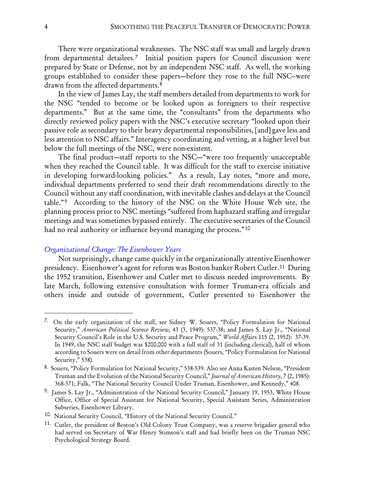There were organizational weaknesses. The NSC staff was small and largely drawn from departmental detailees.[7](#page-9-1) Initial position papers for Council discussion were prepared by State or Defense, not by an independent NSC staff. As well, the working groups established to consider these papers—before they rose to the full NSC--were drawn from the affected departments.[8](#page-9-2) 

In the view of James Lay, the staff members detailed from departments to work for the NSC "tended to become or be looked upon as foreigners to their respective departments." But at the same time, the "consultants" from the departments who directly reviewed policy papers with the NSC's executive secretary "looked upon their passive role as secondary to their heavy departmental responsibilities, [and] gave less and less attention to NSC affairs." Interagency coordinating and vetting, at a higher level but below the full meetings of the NSC, were non-existent.

The final product—staff reports to the NSC—"were too frequently unacceptable when they reached the Council table. It was difficult for the staff to exercise initiative in developing forward-looking policies." As a result, Lay notes, "more and more, individual departments preferred to send their draft recommendations directly to the Council without any staff coordination, with inevitable clashes and delays at the Council table."[9](#page-9-3) According to the history of the NSC on the White House Web site, the planning process prior to NSC meetings "suffered from haphazard staffing and irregular meetings and was sometimes bypassed entirely. The executive secretaries of the Council had no real authority or influence beyond managing the process."<sup>[10](#page-9-4)</sup>

#### <span id="page-9-0"></span>*Organizational Change: The Eisenhower Years*

Not surprisingly, change came quickly in the organizationally attentive Eisenhower presidency. Eisenhower's agent for reform was Boston banker Robert Cutler.[11](#page-9-5) During the 1952 transition, Eisenhower and Cutler met to discuss needed improvements. By late March, following extensive consultation with former Truman-era officials and others inside and outside of government, Cutler presented to Eisenhower the

<span id="page-9-1"></span> <sup>7.</sup> On the early organization of the staff, see Sidney W. Souers, "Policy Formulation for National Security," *American Political Science Review,* 43 (3, 1949): 537-38; and James S. Lay Jr., "National Security Council's Role in the U.S. Security and Peace Program," *World Aff*airs 115 (2, 1952): 37-39. In 1949, the NSC staff budget was \$200,000 with a full staff of 31 (including clerical), half of whom according to Souers were on detail from other departments (Souers, "Policy Formulation for National Security," 538).

<span id="page-9-2"></span><sup>8.</sup> Souers, "Policy Formulation for National Security," 538-539. Also see Anna Kasten Nelson, "President Truman and the Evolution of the National Security Council," *Journal of American History*, 7 (2, 1985): 368-371; Falk, "The National Security Council Under Truman, Eisenhower, and Kennedy," 408.

<span id="page-9-3"></span><sup>&</sup>lt;sup>9.</sup> James S. Lay Jr., "Administration of the National Security Council," January 19, 1953, White House Office, Office of Special Assistant for National Security, Special Assistant Series, Administration Subseries, Eisenhower Library.

<span id="page-9-4"></span><sup>10.</sup> National Security Council, "History of the National Security Council."

<span id="page-9-5"></span><sup>11.</sup> Cutler, the president of Boston's Old Colony Trust Company, was a reserve brigadier general who had served on Secretary of War Henry Stimson's staff and had briefly been on the Truman NSC Psychological Strategy Board.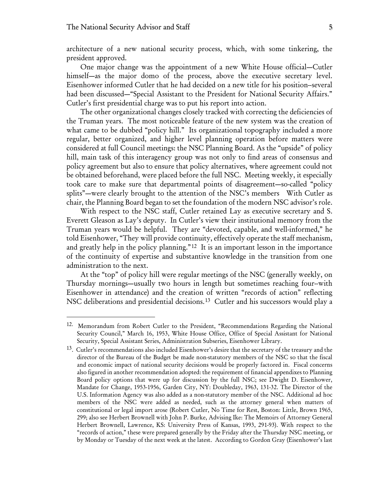architecture of a new national security process, which, with some tinkering, the president approved.

One major change was the appointment of a new White House official—Cutler himself—as the major domo of the process, above the executive secretary level. Eisenhower informed Cutler that he had decided on a new title for his position--several had been discussed—"Special Assistant to the President for National Security Affairs." Cutler's first presidential charge was to put his report into action.

The other organizational changes closely tracked with correcting the deficiencies of the Truman years. The most noticeable feature of the new system was the creation of what came to be dubbed "policy hill." Its organizational topography included a more regular, better organized, and higher level planning operation before matters were considered at full Council meetings: the NSC Planning Board. As the "upside" of policy hill, main task of this interagency group was not only to find areas of consensus and policy agreement but also to ensure that policy alternatives, where agreement could not be obtained beforehand, were placed before the full NSC. Meeting weekly, it especially took care to make sure that departmental points of disagreement—so-called "policy splits"—were clearly brought to the attention of the NSC's members With Cutler as chair, the Planning Board began to set the foundation of the modern NSC advisor's role.

With respect to the NSC staff, Cutler retained Lay as executive secretary and S. Everett Gleason as Lay's deputy. In Cutler's view their institutional memory from the Truman years would be helpful. They are "devoted, capable, and well-informed," he told Eisenhower, "They will provide continuity, effectively operate the staff mechanism, and greatly help in the policy planning."<sup>12</sup> It is an important lesson in the importance of the continuity of expertise and substantive knowledge in the transition from one administration to the next.

At the "top" of policy hill were regular meetings of the NSC (generally weekly, on Thursday mornings—usually two hours in length but sometimes reaching four--with Eisenhower in attendance) and the creation of written "records of action" reflecting NSC deliberations and presidential decisions.[13](#page-10-1) Cutler and his successors would play a

<span id="page-10-0"></span> <sup>12.</sup> Memorandum from Robert Cutler to the President, "Recommendations Regarding the National Security Council," March 16, 1953, White House Office, Office of Special Assistant for National Security, Special Assistant Series, Administration Subseries, Eisenhower Library.

<span id="page-10-1"></span><sup>13.</sup> Cutler's recommendations also included Eisenhower's desire that the secretary of the treasury and the director of the Bureau of the Budget be made non-statutory members of the NSC so that the fiscal and economic impact of national security decisions would be properly factored in. Fiscal concerns also figured in another recommendation adopted: the requirement of financial appendixes to Planning Board policy options that were up for discussion by the full NSC; see Dwight D. Eisenhower, Mandate for Change, 1953-1956, Garden City, NY: Doubleday, 1963, 131-32. The Director of the U.S. Information Agency was also added as a non-statutory member of the NSC. Additional ad hoc members of the NSC were added as needed, such as the attorney general when matters of constitutional or legal import arose (Robert Cutler, No Time for Rest, Boston: Little, Brown 1965, 299; also see Herbert Brownell with John P. Burke, Advising Ike: The Memoirs of Attorney General Herbert Brownell, Lawrence, KS: University Press of Kansas, 1993, 291-93). With respect to the "records of action," these were prepared generally by the Friday after the Thursday NSC meeting, or by Monday or Tuesday of the next week at the latest. According to Gordon Gray (Eisenhower's last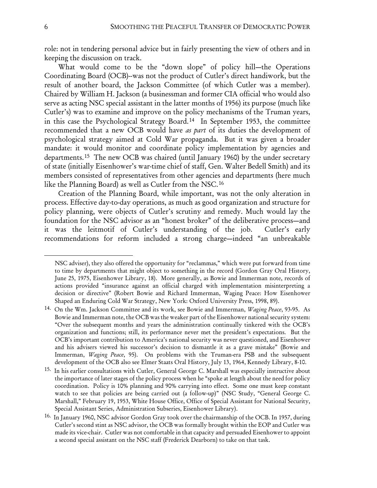role: not in tendering personal advice but in fairly presenting the view of others and in keeping the discussion on track.

What would come to be the "down slope" of policy hill—the Operations Coordinating Board (OCB)--was not the product of Cutler's direct handiwork, but the result of another board, the Jackson Committee (of which Cutler was a member). Chaired by William H. Jackson (a businessman and former CIA official who would also serve as acting NSC special assistant in the latter months of 1956) its purpose (much like Cutler's) was to examine and improve on the policy mechanisms of the Truman years, in this case the Psychological Strategy Board.[14](#page-11-0) In September 1953, the committee recommended that a new OCB would have *as part* of its duties the development of psychological strategy aimed at Cold War propaganda. But it was given a broader mandate: it would monitor and coordinate policy implementation by agencies and departments.[15](#page-11-1) The new OCB was chaired (until January 1960) by the under secretary of state (initially Eisenhower's war-time chief of staff, Gen. Walter Bedell Smith) and its members consisted of representatives from other agencies and departments (here much like the Planning Board) as well as Cutler from the NSC.[16](#page-11-2)

Creation of the Planning Board, while important, was not the only alteration in process. Effective day-to-day operations, as much as good organization and structure for policy planning, were objects of Cutler's scrutiny and remedy. Much would lay the foundation for the NSC advisor as an "honest broker" of the deliberative process—and it was the leitmotif of Cutler's understanding of the job. Cutler's early recommendations for reform included a strong charge—indeed "an unbreakable

 $\overline{a}$ 

NSC adviser), they also offered the opportunity for "reclammas," which were put forward from time to time by departments that might object to something in the record (Gordon Gray Oral History, June 25, 1975, Eisenhower Library, 18). More generally, as Bowie and Immerman note, records of actions provided "insurance against an official charged with implementation misinterpreting a decision or directive" (Robert Bowie and Richard Immerman, Waging Peace: How Eisenhower Shaped an Enduring Cold War Strategy, New York: Oxford University Press, 1998, 89).

<span id="page-11-0"></span><sup>14.</sup> On the Wm. Jackson Committee and its work, see Bowie and Immerman, *Waging Peace*, 93-95. As Bowie and Immerman note, the OCB was the weaker part of the Eisenhower national security system: "Over the subsequent months and years the administration continually tinkered with the OCB's organization and functions; still, its performance never met the president's expectations. But the OCB's important contribution to America's national security was never questioned, and Eisenhower and his advisers viewed his successor's decision to dismantle it as a grave mistake" (Bowie and Immerman, *Waging Peace*, 95). On problems with the Truman-era PSB and the subsequent development of the OCB also see Elmer Staats Oral History, July 13, 1964, Kennedy Library, 8-10.

<span id="page-11-1"></span><sup>15.</sup> In his earlier consultations with Cutler, General George C. Marshall was especially instructive about the importance of later stages of the policy process when he "spoke at length about the need for policy coordination. Policy is 10% planning and 90% carrying into effect. Some one must keep constant watch to see that policies are being carried out (a follow-up)" (NSC Study, "General George C. Marshall," February 19, 1953, White House Office, Office of Special Assistant for National Security, Special Assistant Series, Administration Subseries, Eisenhower Library).

<span id="page-11-2"></span><sup>16.</sup> In January 1960, NSC advisor Gordon Gray took over the chairmanship of the OCB. In 1957, during Cutler's second stint as NSC advisor, the OCB was formally brought within the EOP and Cutler was made its vice-chair. Cutler was not comfortable in that capacity and persuaded Eisenhower to appoint a second special assistant on the NSC staff (Frederick Dearborn) to take on that task.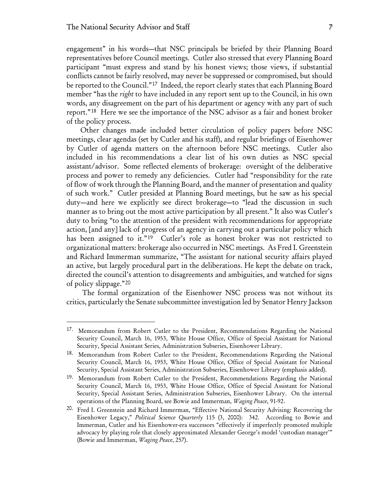engagement" in his words—that NSC principals be briefed by their Planning Board representatives before Council meetings. Cutler also stressed that every Planning Board participant "must express and stand by his honest views; those views, if substantial conflicts cannot be fairly resolved, may never be suppressed or compromised, but should be reported to the Council."[17](#page-12-0) Indeed, the report clearly states that each Planning Board member "has the *right* to have included in any report sent up to the Council, in his own words, any disagreement on the part of his department or agency with any part of such report."[18](#page-12-1) Here we see the importance of the NSC advisor as a fair and honest broker of the policy process.

Other changes made included better circulation of policy papers before NSC meetings, clear agendas (set by Cutler and his staff), and regular briefings of Eisenhower by Cutler of agenda matters on the afternoon before NSC meetings. Cutler also included in his recommendations a clear list of his own duties as NSC special assistant/advisor. Some reflected elements of brokerage: oversight of the deliberative process and power to remedy any deficiencies. Cutler had "responsibility for the rate of flow of work through the Planning Board, and the manner of presentation and quality of such work." Cutler presided at Planning Board meetings, but he saw as his special duty—and here we explicitly see direct brokerage—to "lead the discussion in such manner as to bring out the most active participation by all present." It also was Cutler's duty to bring "to the attention of the president with recommendations for appropriate action, [and any] lack of progress of an agency in carrying out a particular policy which has been assigned to it."[19](#page-12-2) Cutler's role as honest broker was not restricted to organizational matters: brokerage also occurred in NSC meetings. As Fred I. Greenstein and Richard Immerman summarize, "The assistant for national security affairs played an active, but largely procedural part in the deliberations. He kept the debate on track, directed the council's attention to disagreements and ambiguities, and watched for signs of policy slippage."[20](#page-12-3)

The formal organization of the Eisenhower NSC process was not without its critics, particularly the Senate subcommittee investigation led by Senator Henry Jackson

<span id="page-12-0"></span> <sup>17.</sup> Memorandum from Robert Cutler to the President, Recommendations Regarding the National Security Council, March 16, 1953, White House Office, Office of Special Assistant for National Security, Special Assistant Series, Administration Subseries, Eisenhower Library.

<span id="page-12-1"></span><sup>18.</sup> Memorandum from Robert Cutler to the President, Recommendations Regarding the National Security Council, March 16, 1953, White House Office, Office of Special Assistant for National Security, Special Assistant Series, Administration Subseries, Eisenhower Library (emphasis added).

<span id="page-12-2"></span><sup>19.</sup> Memorandum from Robert Cutler to the President, Recommendations Regarding the National Security Council, March 16, 1953, White House Office, Office of Special Assistant for National Security, Special Assistant Series, Administration Subseries, Eisenhower Library. On the internal operations of the Planning Board, see Bowie and Immerman, *Waging Peace*, 91-92.

<span id="page-12-3"></span><sup>&</sup>lt;sup>20.</sup> Fred I. Greenstein and Richard Immerman, "Effective National Security Advising: Recovering the Eisenhower Legacy," *Political Science Quarterly* 115 (3, 2000): 342. According to Bowie and Immerman, Cutler and his Eisenhower-era successors "effectively if imperfectly promoted multiple advocacy by playing role that closely approximated Alexander George's model 'custodian manager'" (Bowie and Immerman, *Waging Peace*, 257).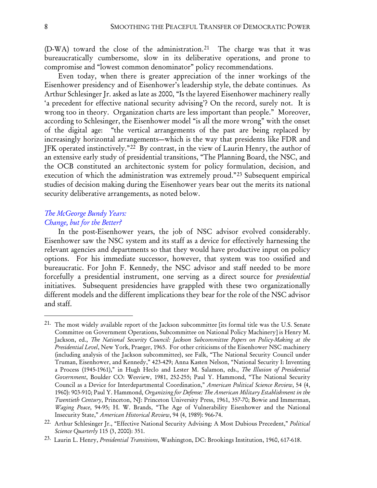(D-WA) toward the close of the administration.[21](#page-13-1) The charge was that it was bureaucratically cumbersome, slow in its deliberative operations, and prone to compromise and "lowest common denominator" policy recommendations.

Even today, when there is greater appreciation of the inner workings of the Eisenhower presidency and of Eisenhower's leadership style, the debate continues. As Arthur Schlesinger Jr. asked as late as 2000, "Is the layered Eisenhower machinery really 'a precedent for effective national security advising'? On the record, surely not. It is wrong too in theory. Organization charts are less important than people." Moreover, according to Schlesinger, the Eisenhower model "is all the more wrong" with the onset of the digital age: "the vertical arrangements of the past are being replaced by increasingly horizontal arrangements—which is the way that presidents like FDR and JFK operated instinctively."[22](#page-13-2) By contrast, in the view of Laurin Henry, the author of an extensive early study of presidential transitions, "The Planning Board, the NSC, and the OCB constituted an architectonic system for policy formulation, decision, and execution of which the administration was extremely proud."[23](#page-13-3) Subsequent empirical studies of decision making during the Eisenhower years bear out the merits its national security deliberative arrangements, as noted below.

#### <span id="page-13-0"></span>*The McGeorge Bundy Years: Change, but for the Better?*

In the post-Eisenhower years, the job of NSC advisor evolved considerably. Eisenhower saw the NSC system and its staff as a device for effectively harnessing the relevant agencies and departments so that they would have productive input on policy options. For his immediate successor, however, that system was too ossified and bureaucratic. For John F. Kennedy, the NSC advisor and staff needed to be more forcefully a presidential instrument, one serving as a direct source for *presidential* initiatives. Subsequent presidencies have grappled with these two organizationally different models and the different implications they bear for the role of the NSC advisor and staff.

<span id="page-13-1"></span> <sup>21.</sup> The most widely available report of the Jackson subcommittee [its formal title was the U.S. Senate Committee on Government Operations, Subcommittee on National Policy Machinery] is Henry M. Jackson, ed., *The National Security Council: Jackson Subcommittee Papers on Policy-Making at the Presidential Level*, New York, Praeger, 1965. For other criticisms of the Eisenhower NSC machinery (including analysis of the Jackson subcommittee), see Falk, "The National Security Council under Truman, Eisenhower, and Kennedy," 423-429; Anna Kasten Nelson, "National Security I: Inventing a Process (1945-1961)," in Hugh Heclo and Lester M. Salamon, eds., *The Illusion of Presidential Government*, Boulder CO: Wesview, 1981, 252-255; Paul Y. Hammond, "The National Security Council as a Device for Interdepartmental Coordination," *American Political Science Review*, 54 (4, 1960): 903-910; Paul Y. Hammond, *Organizing for Defense: The American Military Establishment in the Twentieth Century*, Princeton, NJ: Princeton University Press, 1961, 357-70; Bowie and Immerman, *Waging Peace*, 94-95; H. W. Brands, "The Age of Vulnerability Eisenhower and the National Insecurity State," *American Historical Review*, 94 (4, 1989): 966-74.

<span id="page-13-2"></span><sup>22.</sup> Arthur Schlesinger Jr., "Effective National Security Advising: A Most Dubious Precedent," *Political Science Quarterly* 115 (3, 2000): 351.

<span id="page-13-3"></span><sup>23.</sup> Laurin L. Henry, *Presidential Transitions*, Washington, DC: Brookings Institution, 1960, 617-618.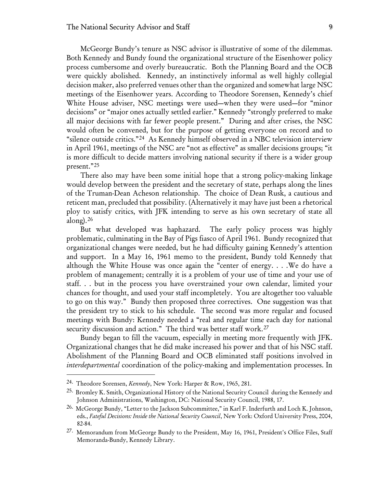McGeorge Bundy's tenure as NSC advisor is illustrative of some of the dilemmas. Both Kennedy and Bundy found the organizational structure of the Eisenhower policy process cumbersome and overly bureaucratic. Both the Planning Board and the OCB were quickly abolished. Kennedy, an instinctively informal as well highly collegial decision maker, also preferred venues other than the organized and somewhat large NSC meetings of the Eisenhower years. According to Theodore Sorensen, Kennedy's chief White House adviser, NSC meetings were used—when they were used—for "minor decisions" or "major ones actually settled earlier." Kennedy "strongly preferred to make all major decisions with far fewer people present." During and after crises, the NSC would often be convened, but for the purpose of getting everyone on record and to "silence outside critics."[24](#page-14-0) As Kennedy himself observed in a NBC television interview in April 1961, meetings of the NSC are "not as effective" as smaller decisions groups; "it is more difficult to decide matters involving national security if there is a wider group present."[25](#page-14-1)

There also may have been some initial hope that a strong policy-making linkage would develop between the president and the secretary of state, perhaps along the lines of the Truman-Dean Acheson relationship. The choice of Dean Rusk, a cautious and reticent man, precluded that possibility. (Alternatively it may have just been a rhetorical ploy to satisfy critics, with JFK intending to serve as his own secretary of state all along).[26](#page-14-2) 

But what developed was haphazard. The early policy process was highly problematic, culminating in the Bay of Pigs fiasco of April 1961. Bundy recognized that organizational changes were needed, but he had difficulty gaining Kennedy's attention and support. In a May 16, 1961 memo to the president, Bundy told Kennedy that although the White House was once again the "center of energy. . . .We do have a problem of management; centrally it is a problem of your use of time and your use of staff. . . but in the process you have overstrained your own calendar, limited your chances for thought, and used your staff incompletely. You are altogether too valuable to go on this way." Bundy then proposed three correctives. One suggestion was that the president try to stick to his schedule. The second was more regular and focused meetings with Bundy: Kennedy needed a "real and regular time each day for national security discussion and action." The third was better staff work.<sup>[27](#page-14-3)</sup>

Bundy began to fill the vacuum, especially in meeting more frequently with JFK. Organizational changes that he did make increased his power and that of his NSC staff. Abolishment of the Planning Board and OCB eliminated staff positions involved in *interdepartmental* coordination of the policy-making and implementation processes. In

<span id="page-14-0"></span> <sup>24.</sup> Theodore Sorensen, *Kennedy*, New York: Harper & Row, 1965, 281.

<span id="page-14-1"></span><sup>25.</sup> Bromley K. Smith, Organizational History of the National Security Council during the Kennedy and Johnson Administrations, Washington, DC: National Security Council, 1988, 17.

<span id="page-14-2"></span><sup>26.</sup> McGeorge Bundy, "Letter to the Jackson Subcommittee," in Karl F. Inderfurth and Loch K. Johnson, eds., *Fateful Decisions: Inside the National Security Council*, New York: Oxford University Press, 2004, 82-84.

<span id="page-14-3"></span><sup>&</sup>lt;sup>27.</sup> Memorandum from McGeorge Bundy to the President, May 16, 1961, President's Office Files, Staff Memoranda-Bundy, Kennedy Library.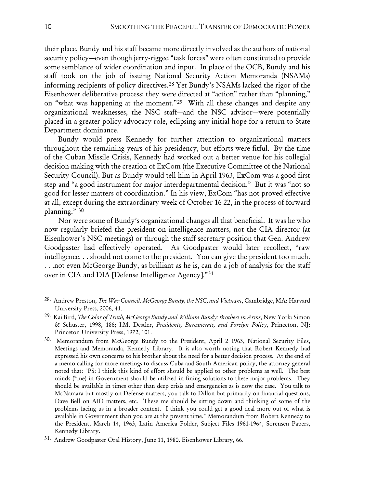their place, Bundy and his staff became more directly involved as the authors of national security policy—even though jerry-rigged "task forces" were often constituted to provide some semblance of wider coordination and input. In place of the OCB, Bundy and his staff took on the job of issuing National Security Action Memoranda (NSAMs) informing recipients of policy directives.[28](#page-15-0) Yet Bundy's NSAMs lacked the rigor of the Eisenhower deliberative process: they were directed at "action" rather than "planning," on "what was happening at the moment."[29](#page-15-1) With all these changes and despite any organizational weaknesses, the NSC staff—and the NSC advisor—were potentially placed in a greater policy advocacy role, eclipsing any initial hope for a return to State Department dominance.

Bundy would press Kennedy for further attention to organizational matters throughout the remaining years of his presidency, but efforts were fitful. By the time of the Cuban Missile Crisis, Kennedy had worked out a better venue for his collegial decision making with the creation of ExCom (the Executive Committee of the National Security Council). But as Bundy would tell him in April 1963, ExCom was a good first step and "a good instrument for major interdepartmental decision." But it was "not so good for lesser matters of coordination." In his view, ExCom "has not proved effective at all, except during the extraordinary week of October 16-22, in the process of forward planning." [30](#page-15-2)

Nor were some of Bundy's organizational changes all that beneficial. It was he who now regularly briefed the president on intelligence matters, not the CIA director (at Eisenhower's NSC meetings) or through the staff secretary position that Gen. Andrew Goodpaster had effectively operated. As Goodpaster would later recollect, "raw intelligence. . . should not come to the president. You can give the president too much. . . .not even McGeorge Bundy, as brilliant as he is, can do a job of analysis for the staff over in CIA and DIA [Defense Intelligence Agency]."[31](#page-15-3)

<span id="page-15-0"></span> <sup>28.</sup> Andrew Preston, *The War Council: McGeorge Bundy, the NSC, and Vietnam*, Cambridge, MA: Harvard University Press, 2006, 41.

<span id="page-15-1"></span><sup>29.</sup> Kai Bird, *The Color of Truth, McGeorge Bundy and William Bundy: Brothers in Arms*, New York: Simon & Schuster, 1998, 186; I.M. Destler, *Presidents, Bureaucrats, and Foreign Policy*, Princeton, NJ: Princeton University Press, 1972, 101.

<span id="page-15-2"></span><sup>30.</sup> Memorandum from McGeorge Bundy to the President, April 2 1963, National Security Files, Meetings and Memoranda, Kennedy Library. It is also worth noting that Robert Kennedy had expressed his own concerns to his brother about the need for a better decision process. At the end of a memo calling for more meetings to discuss Cuba and South American policy, the attorney general noted that: "PS: I think this kind of effort should be applied to other problems as well. The best minds (\*me) in Government should be utilized in fining solutions to these major problems. They should be available in times other than deep crisis and emergencies as is now the case. You talk to McNamara but mostly on Defense matters, you talk to Dillon but primarily on financial questions, Dave Bell on AID matters, etc. These me should be sitting down and thinking of some of the problems facing us in a broader context. I think you could get a good deal more out of what is available in Government than you are at the present time." Memorandum from Robert Kennedy to the President, March 14, 1963, Latin America Folder, Subject Files 1961-1964, Sorensen Papers, Kennedy Library.

<span id="page-15-3"></span><sup>31.</sup> Andrew Goodpaster Oral History, June 11, 1980. Eisenhower Library, 66.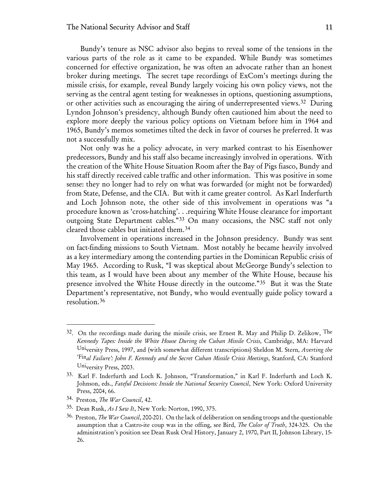Bundy's tenure as NSC advisor also begins to reveal some of the tensions in the various parts of the role as it came to be expanded. While Bundy was sometimes concerned for effective organization, he was often an advocate rather than an honest broker during meetings. The secret tape recordings of ExCom's meetings during the missile crisis, for example, reveal Bundy largely voicing his own policy views, not the serving as the central agent testing for weaknesses in options, questioning assumptions, or other activities such as encouraging the airing of underrepresented views.[32](#page-16-0) During Lyndon Johnson's presidency, although Bundy often cautioned him about the need to explore more deeply the various policy options on Vietnam before him in 1964 and 1965, Bundy's memos sometimes tilted the deck in favor of courses he preferred. It was not a successfully mix.

Not only was he a policy advocate, in very marked contrast to his Eisenhower predecessors, Bundy and his staff also became increasingly involved in operations. With the creation of the White House Situation Room after the Bay of Pigs fiasco, Bundy and his staff directly received cable traffic and other information. This was positive in some sense: they no longer had to rely on what was forwarded (or might not be forwarded) from State, Defense, and the CIA. But with it came greater control. As Karl Inderfurth and Loch Johnson note, the other side of this involvement in operations was "a procedure known as 'cross-hatching'. . .requiring White House clearance for important outgoing State Department cables."[33](#page-16-1) On many occasions, the NSC staff not only cleared those cables but initiated them.[34](#page-16-2)

Involvement in operations increased in the Johnson presidency. Bundy was sent on fact-finding missions to South Vietnam. Most notably he became heavily involved as a key intermediary among the contending parties in the Dominican Republic crisis of May 1965. According to Rusk, "I was skeptical about McGeorge Bundy's selection to this team, as I would have been about any member of the White House, because his presence involved the White House directly in the outcome."[35](#page-16-3) But it was the State Department's representative, not Bundy, who would eventually guide policy toward a resolution.[36](#page-16-4)

<span id="page-16-0"></span> $32.$  On the recordings made during the missile crisis, see Ernest R. May and Philip D. Zelikow, <sup>The</sup> *Kennedy Tapes: Inside the White House During the Cuban Missile Crisis*, Cambridge, MA: Harvard University Press, 1997, and (with somewhat different transcriptions) Sheldon M. Stern, *Averting the*  'Fin*al Failure': John F. Kennedy and the Secret Cuban Missile Crisis Meetings*, Stanford, CA: Stanford University Press, 2003.

<span id="page-16-1"></span><sup>33.</sup> Karl F. Inderfurth and Loch K. Johnson, "Transformation," in Karl F. Inderfurth and Loch K. Johnson, eds., *Fateful Decisions: Inside the National Security Council*, New York: Oxford University Press, 2004, 66.

<span id="page-16-3"></span><span id="page-16-2"></span><sup>34.</sup> Preston, *The War Council*, 42.

<sup>35.</sup> Dean Rusk, *As I Saw It*, New York: Norton, 1990, 375.

<span id="page-16-4"></span><sup>36.</sup> Preston, *The War Council*, 200-201. On the lack of deliberation on sending troops and the questionable assumption that a Castro-ite coup was in the offing, see Bird, *The Color of Truth*, 324-325. On the administration's position see Dean Rusk Oral History, January 2, 1970, Part II, Johnson Library, 15- 26.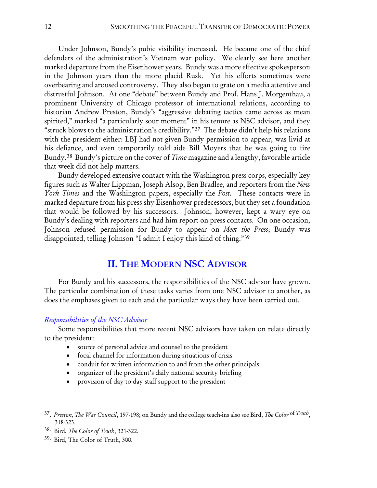Under Johnson, Bundy's pubic visibility increased. He became one of the chief defenders of the administration's Vietnam war policy. We clearly see here another marked departure from the Eisenhower years. Bundy was a more effective spokesperson in the Johnson years than the more placid Rusk. Yet his efforts sometimes were overbearing and aroused controversy. They also began to grate on a media attentive and distrustful Johnson. At one "debate" between Bundy and Prof. Hans J. Morgenthau, a prominent University of Chicago professor of international relations, according to historian Andrew Preston, Bundy's "aggressive debating tactics came across as mean spirited," marked "a particularly sour moment" in his tenure as NSC advisor, and they "struck blows to the administration's credibility."[37](#page-17-2) The debate didn't help his relations with the president either: LBJ had not given Bundy permission to appear, was livid at his defiance, and even temporarily told aide Bill Moyers that he was going to fire Bundy.[38](#page-17-3) Bundy's picture on the cover of *Time* magazine and a lengthy, favorable article that week did not help matters.

Bundy developed extensive contact with the Washington press corps, especially key figures such as Walter Lippman, Joseph Alsop, Ben Bradlee, and reporters from the *New York Times* and the Washington papers, especially the *Post.* These contacts were in marked departure from his press-shy Eisenhower predecessors, but they set a foundation that would be followed by his successors. Johnson, however, kept a wary eye on Bundy's dealing with reporters and had him report on press contacts. On one occasion, Johnson refused permission for Bundy to appear on *Meet the Press*; Bundy was disappointed, telling Johnson "I admit I enjoy this kind of thing."[39](#page-17-4)

## II. THE MODERN NSC ADVISOR

<span id="page-17-0"></span>For Bundy and his successors, the responsibilities of the NSC advisor have grown. The particular combination of these tasks varies from one NSC advisor to another, as does the emphases given to each and the particular ways they have been carried out.

#### <span id="page-17-1"></span>*Responsibilities of the NSC Advisor*

Some responsibilities that more recent NSC advisors have taken on relate directly to the president:

- source of personal advice and counsel to the president
- focal channel for information during situations of crisis
- conduit for written information to and from the other principals
- organizer of the president's daily national security briefing
- provision of day-to-day staff support to the president

<span id="page-17-2"></span> <sup>37.</sup> *Preston, The War Council*, 197-198; on Bundy and the college teach-ins also see Bird, *The Color* of *Truth*, 318-323.

<span id="page-17-3"></span><sup>38.</sup> Bird, *The Color of Truth*, 321-322.

<span id="page-17-4"></span><sup>39.</sup> Bird, The Color of Truth, 300.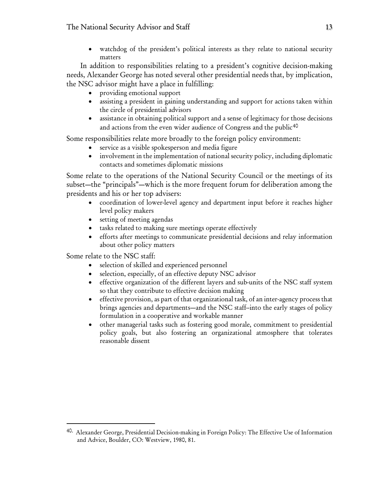• watchdog of the president's political interests as they relate to national security matters

In addition to responsibilities relating to a president's cognitive decision-making needs, Alexander George has noted several other presidential needs that, by implication, the NSC advisor might have a place in fulfilling:

- providing emotional support
- assisting a president in gaining understanding and support for actions taken within the circle of presidential advisors
- assistance in obtaining political support and a sense of legitimacy for those decisions and actions from the even wider audience of Congress and the public<sup>[40](#page-18-0)</sup>

Some responsibilities relate more broadly to the foreign policy environment:

- service as a visible spokesperson and media figure
- involvement in the implementation of national security policy, including diplomatic contacts and sometimes diplomatic missions

Some relate to the operations of the National Security Council or the meetings of its subset—the "principals"—which is the more frequent forum for deliberation among the presidents and his or her top advisers:

- coordination of lower-level agency and department input before it reaches higher level policy makers
- setting of meeting agendas
- tasks related to making sure meetings operate effectively
- efforts after meetings to communicate presidential decisions and relay information about other policy matters

Some relate to the NSC staff:

- selection of skilled and experienced personnel
- selection, especially, of an effective deputy NSC advisor
- effective organization of the different layers and sub-units of the NSC staff system so that they contribute to effective decision making
- effective provision, as part of that organizational task, of an inter-agency process that brings agencies and departments—and the NSC staff--into the early stages of policy formulation in a cooperative and workable manner
- other managerial tasks such as fostering good morale, commitment to presidential policy goals, but also fostering an organizational atmosphere that tolerates reasonable dissent

<span id="page-18-0"></span> <sup>40.</sup> Alexander George, Presidential Decision-making in Foreign Policy: The Effective Use of Information and Advice, Boulder, CO: Westview, 1980, 81.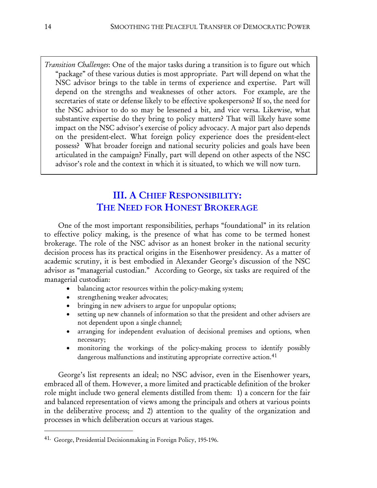*Transition Challenges*: One of the major tasks during a transition is to figure out which "package" of these various duties is most appropriate. Part will depend on what the NSC advisor brings to the table in terms of experience and expertise. Part will depend on the strengths and weaknesses of other actors. For example, are the secretaries of state or defense likely to be effective spokespersons? If so, the need for the NSC advisor to do so may be lessened a bit, and vice versa. Likewise, what substantive expertise do they bring to policy matters? That will likely have some impact on the NSC advisor's exercise of policy advocacy. A major part also depends on the president-elect. What foreign policy experience does the president-elect possess? What broader foreign and national security policies and goals have been articulated in the campaign? Finally, part will depend on other aspects of the NSC advisor's role and the context in which it is situated, to which we will now turn.

# III. A CHIEF RESPONSIBILITY: THE NEED FOR HONEST BROKERAGE

<span id="page-19-0"></span>One of the most important responsibilities, perhaps "foundational" in its relation to effective policy making, is the presence of what has come to be termed honest brokerage. The role of the NSC advisor as an honest broker in the national security decision process has its practical origins in the Eisenhower presidency. As a matter of academic scrutiny, it is best embodied in Alexander George's discussion of the NSC advisor as "managerial custodian." According to George, six tasks are required of the managerial custodian:

- balancing actor resources within the policy-making system;
- strengthening weaker advocates;
- bringing in new advisers to argue for unpopular options;
- setting up new channels of information so that the president and other advisers are not dependent upon a single channel;
- arranging for independent evaluation of decisional premises and options, when necessary;
- monitoring the workings of the policy-making process to identify possibly dangerous malfunctions and instituting appropriate corrective action.<sup>[41](#page-19-1)</sup>

George's list represents an ideal; no NSC advisor, even in the Eisenhower years, embraced all of them. However, a more limited and practicable definition of the broker role might include two general elements distilled from them: 1) a concern for the fair and balanced representation of views among the principals and others at various points in the deliberative process; and 2) attention to the quality of the organization and processes in which deliberation occurs at various stages.

<span id="page-19-1"></span> <sup>41.</sup> George, Presidential Decisionmaking in Foreign Policy, 195-196.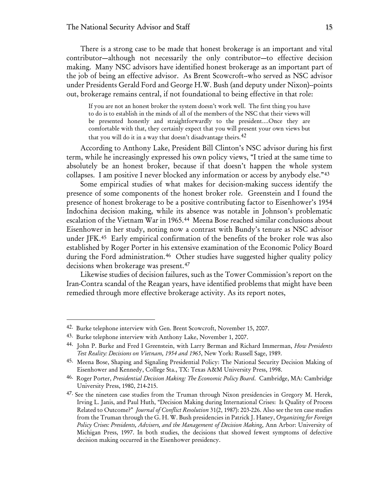There is a strong case to be made that honest brokerage is an important and vital contributor—although not necessarily the only contributor—to effective decision making. Many NSC advisors have identified honest brokerage as an important part of the job of being an effective advisor. As Brent Scowcroft--who served as NSC advisor under Presidents Gerald Ford and George H.W. Bush (and deputy under Nixon)--points out, brokerage remains central, if not foundational to being effective in that role:

If you are not an honest broker the system doesn't work well. The first thing you have to do is to establish in the minds of all of the members of the NSC that their views will be presented honestly and straightforwardly to the president….Once they are comfortable with that, they certainly expect that you will present your own views but that you will do it in a way that doesn't disadvantage theirs.  $42$ 

According to Anthony Lake, President Bill Clinton's NSC advisor during his first term, while he increasingly expressed his own policy views, "I tried at the same time to absolutely be an honest broker, because if that doesn't happen the whole system collapses. I am positive I never blocked any information or access by anybody else."[43](#page-20-1) 

Some empirical studies of what makes for decision-making success identify the presence of some components of the honest broker role. Greenstein and I found the presence of honest brokerage to be a positive contributing factor to Eisenhower's 1954 Indochina decision making, while its absence was notable in Johnson's problematic escalation of the Vietnam War in 1965.[44](#page-20-2) Meena Bose reached similar conclusions about Eisenhower in her study, noting now a contrast with Bundy's tenure as NSC advisor under JFK.[45](#page-20-3) Early empirical confirmation of the benefits of the broker role was also established by Roger Porter in his extensive examination of the Economic Policy Board during the Ford administration.<sup>46</sup> Other studies have suggested higher quality policy decisions when brokerage was present.<sup>[47](#page-20-5)</sup>

Likewise studies of decision failures, such as the Tower Commission's report on the Iran-Contra scandal of the Reagan years, have identified problems that might have been remedied through more effective brokerage activity. As its report notes,

<span id="page-20-1"></span><span id="page-20-0"></span><sup>&</sup>lt;sup>42.</sup> Burke telephone interview with Gen. Brent Scowcroft, November 15, 2007.

<sup>43.</sup> Burke telephone interview with Anthony Lake, November 1, 2007.

<span id="page-20-2"></span><sup>44.</sup> John P. Burke and Fred I Greenstein, with Larry Berman and Richard Immerman, *How Presidents Test Reality: Decisions on Vietnam, 1954 and 1965*, New York: Russell Sage, 1989.

<span id="page-20-3"></span><sup>45.</sup> Meena Bose, Shaping and Signaling Presidential Policy: The National Security Decision Making of Eisenhower and Kennedy, College Sta., TX: Texas A&M University Press, 1998.

<span id="page-20-4"></span><sup>46.</sup> Roger Porter, *Presidential Decision Making: The Economic Policy Board*. Cambridge, MA: Cambridge University Press, 1980, 214-215.

<span id="page-20-5"></span><sup>&</sup>lt;sup>47.</sup> See the nineteen case studies from the Truman through Nixon presidencies in Gregory M. Herek, Irving L. Janis, and Paul Huth, "Decision Making during International Crises: Is Quality of Process Related to Outcome?" *Journal of Conflict Resolution* 31(2, 1987): 203-226. Also see the ten case studies from the Truman through the G. H. W. Bush presidencies in Patrick J. Haney, *Organizing for Foreign Policy Crises: Presidents, Advisers, and the Management of Decision Making*, Ann Arbor: University of Michigan Press, 1997. In both studies, the decisions that showed fewest symptoms of defective decision making occurred in the Eisenhower presidency.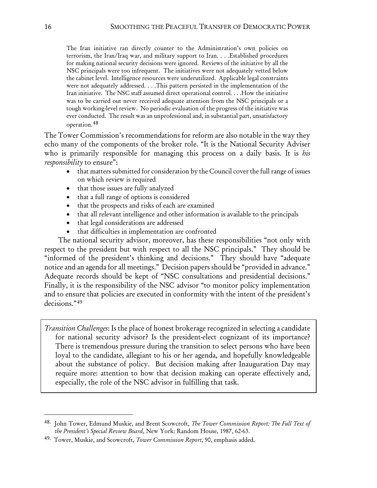The Iran initiative ran directly counter to the Administration's own policies on terrorism, the Iran/Iraq war, and military support to Iran. . . .Established procedures for making national security decisions were ignored. Reviews of the initiative by all the NSC principals were too infrequent. The initiatives were not adequately vetted below the cabinet level. Intelligence resources were underutilized. Applicable legal constraints were not adequately addressed. . . .This pattern persisted in the implementation of the Iran initiative. The NSC staff assumed direct operational control. . . .How the initiative was to be carried out never received adequate attention from the NSC principals or a tough working-level review. No periodic evaluation of the progress of the initiative was ever conducted. The result was an unprofessional and, in substantial part, unsatisfactory operation.[48](#page-21-0)

The Tower Commission's recommendations for reform are also notable in the way they echo many of the components of the broker role. "It is the National Security Adviser who is primarily responsible for managing this process on a daily basis. It is *his responsibility* to ensure":

- that matters submitted for consideration by the Council cover the full range of issues on which review is required
- that those issues are fully analyzed
- that a full range of options is considered
- that the prospects and risks of each are examined
- that all relevant intelligence and other information is available to the principals
- that legal considerations are addressed
- that difficulties in implementation are confronted

The national security advisor, moreover, has these responsibilities "not only with respect to the president but with respect to all the NSC principals." They should be "informed of the president's thinking and decisions." They should have "adequate notice and an agenda for all meetings." Decision papers should be "provided in advance." Adequate records should be kept of "NSC consultations and presidential decisions." Finally, it is the responsibility of the NSC advisor "to monitor policy implementation and to ensure that policies are executed in conformity with the intent of the president's decisions."[49](#page-21-1)

*Transition Challenges*: Is the place of honest brokerage recognized in selecting a candidate for national security advisor? Is the president-elect cognizant of its importance? There is tremendous pressure during the transition to select persons who have been loyal to the candidate, allegiant to his or her agenda, and hopefully knowledgeable about the substance of policy. But decision making after Inauguration Day may require more: attention to how that decision making can operate effectively and, especially, the role of the NSC advisor in fulfilling that task.

<span id="page-21-0"></span> <sup>48.</sup> John Tower, Edmund Muskie, and Brent Scowcroft, *The Tower Commission Report: The Full Text of the President's Special Review Board*, New York: Random House, 1987, 62-63.

<span id="page-21-1"></span><sup>49.</sup> Tower, Muskie, and Scowcroft, *Tower Commission Report*, 90, emphasis added.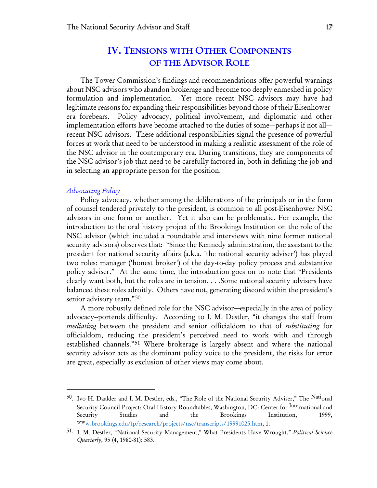## IV. TENSIONS WITH OTHER COMPONENTS OF THE ADVISOR ROLE

<span id="page-22-0"></span>The Tower Commission's findings and recommendations offer powerful warnings about NSC advisors who abandon brokerage and become too deeply enmeshed in policy formulation and implementation. Yet more recent NSC advisors may have had legitimate reasons for expanding their responsibilities beyond those of their Eisenhowerera forebears. Policy advocacy, political involvement, and diplomatic and other implementation efforts have become attached to the duties of some—perhaps if not all recent NSC advisors. These additional responsibilities signal the presence of powerful forces at work that need to be understood in making a realistic assessment of the role of the NSC advisor in the contemporary era. During transitions, they are components of the NSC advisor's job that need to be carefully factored in, both in defining the job and in selecting an appropriate person for the position.

#### <span id="page-22-1"></span>*Advocating Policy*

Policy advocacy, whether among the deliberations of the principals or in the form of counsel tendered privately to the president, is common to all post-Eisenhower NSC advisors in one form or another. Yet it also can be problematic. For example, the introduction to the oral history project of the Brookings Institution on the role of the NSC advisor (which included a roundtable and interviews with nine former national security advisors) observes that: "Since the Kennedy administration, the assistant to the president for national security affairs (a.k.a. 'the national security adviser') has played two roles: manager ('honest broker') of the day-to-day policy process and substantive policy adviser." At the same time, the introduction goes on to note that "Presidents clearly want both, but the roles are in tension. . . .Some national security advisers have balanced these roles adroitly. Others have not, generating discord within the president's senior advisory team."<sup>[50](#page-22-2)</sup>

A more robustly defined role for the NSC advisor—especially in the area of policy advocacy--portends difficulty. According to I. M. Destler, "it changes the staff from *mediating* between the president and senior officialdom to that of *substituting* for officialdom, reducing the president's perceived need to work with and through established channels."[51](#page-22-3) Where brokerage is largely absent and where the national security advisor acts as the dominant policy voice to the president, the risks for error are great, especially as exclusion of other views may come about.

<span id="page-22-2"></span> <sup>50.</sup> Ivo H. Daalder and I. M. Destler, eds., "The Role of the National Security Adviser," The National Security Council Project: Oral History Roundtables, Washington, DC: Center for International and Security Studies and the Brookings Institution, 1999, [www.brookings.edu/fp/research/projects/nsc/transcripts/19991025.htm,](http://www.brookings.edu/fp/research/projects/nsc/transcripts/19991025.htm) 1.

<span id="page-22-3"></span><sup>51.</sup> I. M. Destler, "National Security Management," What Presidents Have Wrought," *Political Science Quarterly*, 95 (4, 1980-81): 583.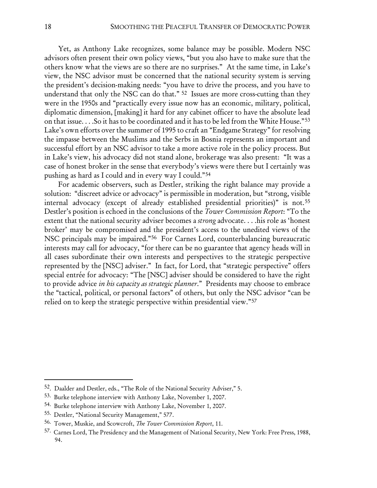Yet, as Anthony Lake recognizes, some balance may be possible. Modern NSC advisors often present their own policy views, "but you also have to make sure that the others know what the views are so there are no surprises." At the same time, in Lake's view, the NSC advisor must be concerned that the national security system is serving the president's decision-making needs: "you have to drive the process, and you have to understand that only the NSC can do that." [52](#page-23-0) Issues are more cross-cutting than they were in the 1950s and "practically every issue now has an economic, military, political, diplomatic dimension, [making] it hard for any cabinet officer to have the absolute lead on that issue. . . .So it has to be coordinated and it has to be led from the White House."[53](#page-23-1) Lake's own efforts over the summer of 1995 to craft an "Endgame Strategy" for resolving the impasse between the Muslims and the Serbs in Bosnia represents an important and successful effort by an NSC advisor to take a more active role in the policy process. But in Lake's view, his advocacy did not stand alone, brokerage was also present: "It was a case of honest broker in the sense that everybody's views were there but I certainly was pushing as hard as I could and in every way I could."[54](#page-23-2)

For academic observers, such as Destler, striking the right balance may provide a solution: "discreet advice or advocacy" is permissible in moderation, but "strong, visible internal advocacy (except of already established presidential priorities)" is not.[55](#page-23-3) Destler's position is echoed in the conclusions of the *Tower Commission Report*: "To the extent that the national security adviser becomes a *strong* advocate. . . .his role as 'honest broker' may be compromised and the president's access to the unedited views of the NSC principals may be impaired."[56](#page-23-4) For Carnes Lord, counterbalancing bureaucratic interests may call for advocacy, "for there can be no guarantee that agency heads will in all cases subordinate their own interests and perspectives to the strategic perspective represented by the [NSC] adviser." In fact, for Lord, that "strategic perspective" offers special entrée for advocacy: "The [NSC] adviser should be considered to have the right to provide advice *in his capacity as strategic planner*." Presidents may choose to embrace the "tactical, political, or personal factors" of others, but only the NSC advisor "can be relied on to keep the strategic perspective within presidential view."[57](#page-23-5)

<span id="page-23-0"></span> <sup>52.</sup> Daalder and Destler, eds., "The Role of the National Security Adviser," 5.

<span id="page-23-1"></span><sup>53.</sup> Burke telephone interview with Anthony Lake, November 1, 2007.

<span id="page-23-2"></span><sup>54.</sup> Burke telephone interview with Anthony Lake, November 1, 2007.

<span id="page-23-3"></span><sup>55.</sup> Destler, "National Security Management," 577.

<span id="page-23-4"></span><sup>56.</sup> Tower, Muskie, and Scowcroft, *The Tower Commission Report*, 11.

<span id="page-23-5"></span><sup>57.</sup> Carnes Lord, The Presidency and the Management of National Security, New York: Free Press, 1988, 94.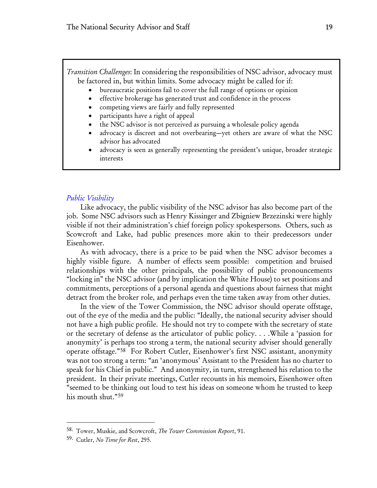*Transition Challenges*: In considering the responsibilities of NSC advisor, advocacy must be factored in, but within limits. Some advocacy might be called for if:

- bureaucratic positions fail to cover the full range of options or opinion
- effective brokerage has generated trust and confidence in the process
- competing views are fairly and fully represented
- participants have a right of appeal
- the NSC advisor is not perceived as pursuing a wholesale policy agenda
- advocacy is discreet and not overbearing-yet others are aware of what the NSC advisor has advocated
- advocacy is seen as generally representing the president's unique, broader strategic interests

#### <span id="page-24-0"></span>*Public Visibility*

Like advocacy, the public visibility of the NSC advisor has also become part of the job. Some NSC advisors such as Henry Kissinger and Zbigniew Brzezinski were highly visible if not their administration's chief foreign policy spokespersons. Others, such as Scowcroft and Lake, had public presences more akin to their predecessors under Eisenhower.

As with advocacy, there is a price to be paid when the NSC advisor becomes a highly visible figure. A number of effects seem possible: competition and bruised relationships with the other principals, the possibility of public pronouncements "locking in" the NSC advisor (and by implication the White House) to set positions and commitments, perceptions of a personal agenda and questions about fairness that might detract from the broker role, and perhaps even the time taken away from other duties.

In the view of the Tower Commission, the NSC advisor should operate offstage, out of the eye of the media and the public: "Ideally, the national security adviser should not have a high public profile. He should not try to compete with the secretary of state or the secretary of defense as the articulator of public policy. . . .While a 'passion for anonymity' is perhaps too strong a term, the national security adviser should generally operate offstage."[58](#page-24-1) For Robert Cutler, Eisenhower's first NSC assistant, anonymity was not too strong a term: "an 'anonymous' Assistant to the President has no charter to speak for his Chief in public." And anonymity, in turn, strengthened his relation to the president. In their private meetings, Cutler recounts in his memoirs, Eisenhower often "seemed to be thinking out loud to test his ideas on someone whom he trusted to keep his mouth shut."[59](#page-24-2)

<span id="page-24-2"></span><span id="page-24-1"></span> <sup>58.</sup> Tower, Muskie, and Scowcroft, *The Tower Commission Report*, 91.

<sup>59.</sup> Cutler, *No Time for Rest*, 295.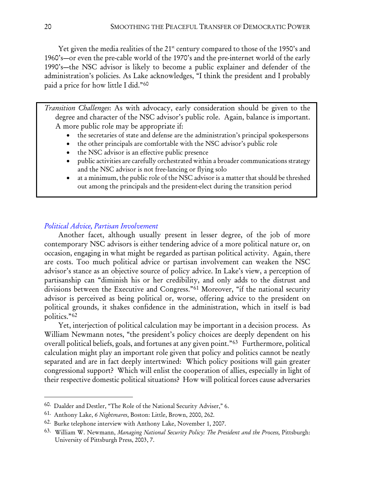Yet given the media realities of the 21<sup>st</sup> century compared to those of the 1950's and 1960's—or even the pre-cable world of the 1970's and the pre-internet world of the early 1990's—the NSC advisor is likely to become a public explainer and defender of the administration's policies. As Lake acknowledges, "I think the president and I probably paid a price for how little I did."[60](#page-25-1)

*Transition Challenges*: As with advocacy, early consideration should be given to the degree and character of the NSC advisor's public role. Again, balance is important. A more public role may be appropriate if:

- the secretaries of state and defense are the administration's principal spokespersons
- the other principals are comfortable with the NSC advisor's public role
- the NSC advisor is an effective public presence
- public activities are carefully orchestrated within a broader communications strategy and the NSC advisor is not free-lancing or flying solo
- at a minimum, the public role of the NSC advisor is a matter that should be threshed out among the principals and the president-elect during the transition period

#### <span id="page-25-0"></span>*Political Advice, Partisan Involvement*

Another facet, although usually present in lesser degree, of the job of more contemporary NSC advisors is either tendering advice of a more political nature or, on occasion, engaging in what might be regarded as partisan political activity. Again, there are costs. Too much political advice or partisan involvement can weaken the NSC advisor's stance as an objective source of policy advice. In Lake's view, a perception of partisanship can "diminish his or her credibility, and only adds to the distrust and divisions between the Executive and Congress."[61](#page-25-2) Moreover, "if the national security advisor is perceived as being political or, worse, offering advice to the president on political grounds, it shakes confidence in the administration, which in itself is bad politics."[62](#page-25-3)

Yet, interjection of political calculation may be important in a decision process. As William Newmann notes, "the president's policy choices are deeply dependent on his overall political beliefs, goals, and fortunes at any given point."[63](#page-25-4) Furthermore, political calculation might play an important role given that policy and politics cannot be neatly separated and are in fact deeply intertwined: Which policy positions will gain greater congressional support? Which will enlist the cooperation of allies, especially in light of their respective domestic political situations? How will political forces cause adversaries

<span id="page-25-1"></span> <sup>60.</sup> Daalder and Destler, "The Role of the National Security Adviser," 6.

<span id="page-25-2"></span><sup>61.</sup> Anthony Lake, *6 Nightmares*, Boston: Little, Brown, 2000, 262.

<span id="page-25-4"></span><span id="page-25-3"></span><sup>62.</sup> Burke telephone interview with Anthony Lake, November 1, 2007.

<sup>63.</sup> William W. Newmann, *Managing National Security Policy: The President and the Process,* Pittsburgh: University of Pittsburgh Press, 2003, 7.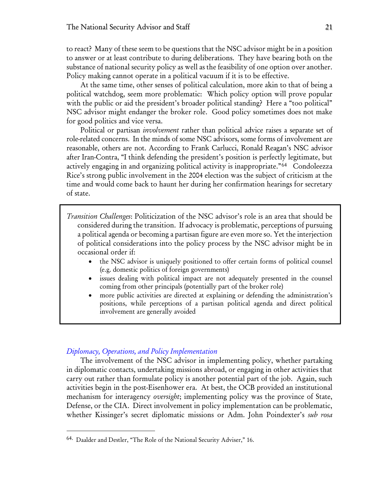to react? Many of these seem to be questions that the NSC advisor might be in a position to answer or at least contribute to during deliberations. They have bearing both on the substance of national security policy as well as the feasibility of one option over another. Policy making cannot operate in a political vacuum if it is to be effective.

At the same time, other senses of political calculation, more akin to that of being a political watchdog, seem more problematic: Which policy option will prove popular with the public or aid the president's broader political standing? Here a "too political" NSC advisor might endanger the broker role. Good policy sometimes does not make for good politics and vice versa.

Political or partisan *involvement* rather than political advice raises a separate set of role-related concerns. In the minds of some NSC advisors, some forms of involvement are reasonable, others are not. According to Frank Carlucci, Ronald Reagan's NSC advisor after Iran-Contra, "I think defending the president's position is perfectly legitimate, but actively engaging in and organizing political activity is inappropriate."[64](#page-26-1) Condoleezza Rice's strong public involvement in the 2004 election was the subject of criticism at the time and would come back to haunt her during her confirmation hearings for secretary of state.

- *Transition Challenges*: Politicization of the NSC advisor's role is an area that should be considered during the transition. If advocacy is problematic, perceptions of pursuing a political agenda or becoming a partisan figure are even more so. Yet the interjection of political considerations into the policy process by the NSC advisor might be in occasional order if:
	- the NSC advisor is uniquely positioned to offer certain forms of political counsel (e.g. domestic politics of foreign governments)
	- issues dealing with political impact are not adequately presented in the counsel coming from other principals (potentially part of the broker role)
	- more public activities are directed at explaining or defending the administration's positions, while perceptions of a partisan political agenda and direct political involvement are generally avoided

#### <span id="page-26-0"></span>*Diplomacy, Operations, and Policy Implementation*

The involvement of the NSC advisor in implementing policy, whether partaking in diplomatic contacts, undertaking missions abroad, or engaging in other activities that carry out rather than formulate policy is another potential part of the job. Again, such activities begin in the post-Eisenhower era. At best, the OCB provided an institutional mechanism for interagency *oversight*; implementing policy was the province of State, Defense, or the CIA. Direct involvement in policy implementation can be problematic, whether Kissinger's secret diplomatic missions or Adm. John Poindexter's *sub rosa*

<span id="page-26-1"></span> <sup>64.</sup> Daalder and Destler, "The Role of the National Security Adviser," 16.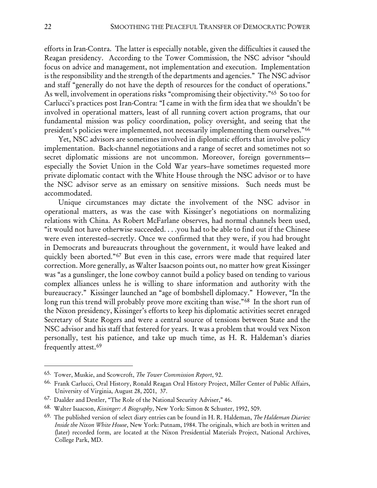efforts in Iran-Contra. The latter is especially notable, given the difficulties it caused the Reagan presidency. According to the Tower Commission, the NSC advisor "should focus on advice and management, not implementation and execution. Implementation is the responsibility and the strength of the departments and agencies." The NSC advisor and staff "generally do not have the depth of resources for the conduct of operations." As well, involvement in operations risks "compromising their objectivity."[65](#page-27-0) So too for Carlucci's practices post Iran-Contra: "I came in with the firm idea that we shouldn't be involved in operational matters, least of all running covert action programs, that our fundamental mission was policy coordination, policy oversight, and seeing that the president's policies were implemented, not necessarily implementing them ourselves."[66](#page-27-1)

Yet, NSC advisors are sometimes involved in diplomatic efforts that involve policy implementation. Back-channel negotiations and a range of secret and sometimes not so secret diplomatic missions are not uncommon. Moreover, foreign governments especially the Soviet Union in the Cold War years--have sometimes requested more private diplomatic contact with the White House through the NSC advisor or to have the NSC advisor serve as an emissary on sensitive missions. Such needs must be accommodated.

Unique circumstances may dictate the involvement of the NSC advisor in operational matters, as was the case with Kissinger's negotiations on normalizing relations with China. As Robert McFarlane observes, had normal channels been used, "it would not have otherwise succeeded. . . .you had to be able to find out if the Chinese were even interested--secretly. Once we confirmed that they were, if you had brought in Democrats and bureaucrats throughout the government, it would have leaked and quickly been aborted."[67](#page-27-2) But even in this case, errors were made that required later correction. More generally, as Walter Isaacson points out, no matter how great Kissinger was "as a gunslinger, the lone cowboy cannot build a policy based on tending to various complex alliances unless he is willing to share information and authority with the bureaucracy." Kissinger launched an "age of bombshell diplomacy." However, "In the long run this trend will probably prove more exciting than wise."<sup>68</sup> In the short run of the Nixon presidency, Kissinger's efforts to keep his diplomatic activities secret enraged Secretary of State Rogers and were a central source of tensions between State and the NSC advisor and his staff that festered for years. It was a problem that would vex Nixon personally, test his patience, and take up much time, as H. R. Haldeman's diaries frequently attest.[69](#page-27-4)

<span id="page-27-0"></span> <sup>65.</sup> Tower, Muskie, and Scowcroft, *The Tower Commission Report*, 92.

<span id="page-27-1"></span><sup>66.</sup> Frank Carlucci, Oral History, Ronald Reagan Oral History Project, Miller Center of Public Affairs, University of Virginia, August 28, 2001, 37.

<span id="page-27-2"></span><sup>67.</sup> Daalder and Destler, "The Role of the National Security Adviser," 46.

<span id="page-27-3"></span><sup>68.</sup> Walter Isaacson, *Kissinger: A Biography*, New York: Simon & Schuster, 1992, 509.

<span id="page-27-4"></span><sup>69.</sup> The published version of select diary entries can be found in H. R. Haldeman, *The Haldeman Diaries: Inside the Nixon White House*, New York: Putnam, 1984. The originals, which are both in written and (later) recorded form, are located at the Nixon Presidential Materials Project, National Archives, College Park, MD.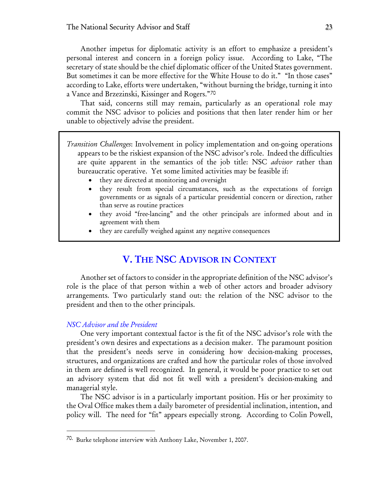Another impetus for diplomatic activity is an effort to emphasize a president's personal interest and concern in a foreign policy issue. According to Lake, "The secretary of state should be the chief diplomatic officer of the United States government. But sometimes it can be more effective for the White House to do it." "In those cases" according to Lake, efforts were undertaken, "without burning the bridge, turning it into a Vance and Brzezinski, Kissinger and Rogers."[70](#page-28-2) 

That said, concerns still may remain, particularly as an operational role may commit the NSC advisor to policies and positions that then later render him or her unable to objectively advise the president.

*Transition Challenges*: Involvement in policy implementation and on-going operations appears to be the riskiest expansion of the NSC advisor's role. Indeed the difficulties are quite apparent in the semantics of the job title: NSC *advisor* rather than bureaucratic operative. Yet some limited activities may be feasible if:

- they are directed at monitoring and oversight
- they result from special circumstances, such as the expectations of foreign governments or as signals of a particular presidential concern or direction, rather than serve as routine practices
- they avoid "free-lancing" and the other principals are informed about and in agreement with them
- <span id="page-28-0"></span>they are carefully weighed against any negative consequences

# V. THE NSC ADVISOR IN CONTEXT

Another set of factors to consider in the appropriate definition of the NSC advisor's role is the place of that person within a web of other actors and broader advisory arrangements. Two particularly stand out: the relation of the NSC advisor to the president and then to the other principals.

#### <span id="page-28-1"></span>*NSC Advisor and the President*

One very important contextual factor is the fit of the NSC advisor's role with the president's own desires and expectations as a decision maker. The paramount position that the president's needs serve in considering how decision-making processes, structures, and organizations are crafted and how the particular roles of those involved in them are defined is well recognized. In general, it would be poor practice to set out an advisory system that did not fit well with a president's decision-making and managerial style.

The NSC advisor is in a particularly important position. His or her proximity to the Oval Office makes them a daily barometer of presidential inclination, intention, and policy will. The need for "fit" appears especially strong. According to Colin Powell,

<span id="page-28-2"></span> <sup>70.</sup> Burke telephone interview with Anthony Lake, November 1, 2007.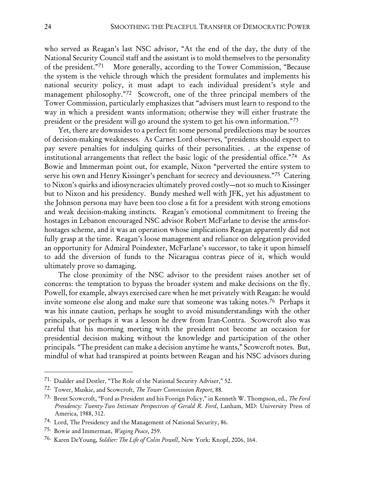who served as Reagan's last NSC advisor, "At the end of the day, the duty of the National Security Council staff and the assistant is to mold themselves to the personality of the president."[71](#page-29-0) More generally, according to the Tower Commission, "Because the system is the vehicle through which the president formulates and implements his national security policy, it must adapt to each individual president's style and management philosophy."<sup>72</sup> Scowcroft, one of the three principal members of the Tower Commission, particularly emphasizes that "advisers must learn to respond to the way in which a president wants information; otherwise they will either frustrate the president or the president will go around the system to get his own information."[73](#page-29-2)

Yet, there are downsides to a perfect fit: some personal predilections may be sources of decision-making weaknesses. As Carnes Lord observes, "presidents should expect to pay severe penalties for indulging quirks of their personalities. . .at the expense of institutional arrangements that reflect the basic logic of the presidential office."[74](#page-29-3) As Bowie and Immerman point out, for example, Nixon "perverted the entire system to serve his own and Henry Kissinger's penchant for secrecy and deviousness."[75](#page-29-4) Catering to Nixon's quirks and idiosyncracies ultimately proved costly—not so much to Kissinger but to Nixon and his presidency. Bundy meshed well with JFK, yet his adjustment to the Johnson persona may have been too close a fit for a president with strong emotions and weak decision-making instincts. Reagan's emotional commitment to freeing the hostages in Lebanon encouraged NSC advisor Robert McFarlane to devise the arms-forhostages scheme, and it was an operation whose implications Reagan apparently did not fully grasp at the time. Reagan's loose management and reliance on delegation provided an opportunity for Admiral Poindexter, McFarlane's successor, to take it upon himself to add the diversion of funds to the Nicaragua contras piece of it, which would ultimately prove so damaging.

The close proximity of the NSC advisor to the president raises another set of concerns: the temptation to bypass the broader system and make decisions on the fly. Powell, for example, always exercised care when he met privately with Reagan: he would invite someone else along and make sure that someone was taking notes.[76](#page-29-5) Perhaps it was his innate caution, perhaps he sought to avoid misunderstandings with the other principals, or perhaps it was a lesson he drew from Iran-Contra. Scowcroft also was careful that his morning meeting with the president not become an occasion for presidential decision making without the knowledge and participation of the other principals. "The president can make a decision anytime he wants," Scowcroft notes. But, mindful of what had transpired at points between Reagan and his NSC advisors during

<span id="page-29-0"></span> <sup>71.</sup> Daalder and Destler, "The Role of the National Security Adviser," 52.

<span id="page-29-1"></span><sup>72.</sup> Tower, Muskie, and Scowcroft, *The Tower Commission Report*, 88.

<span id="page-29-2"></span><sup>73.</sup> Brent Scowcroft, "Ford as President and his Foreign Policy," in Kenneth W. Thompson, ed., *The Ford Presidency: Twenty-Two Intimate Perspectives of Gerald R. Ford*, Lanham, MD: University Press of America, 1988, 312.

<span id="page-29-3"></span><sup>74.</sup> Lord, The Presidency and the Management of National Security, 86.

<span id="page-29-4"></span><sup>75.</sup> Bowie and Immerman, *Waging Peace*, 259.

<span id="page-29-5"></span><sup>76.</sup> Karen DeYoung, *Soldier: The Life of Colin Powell*, New York: Knopf, 2006, 164.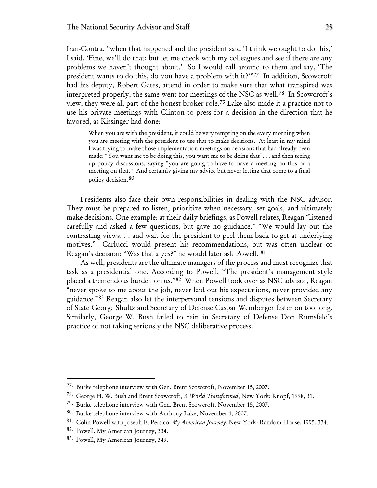Iran-Contra, "when that happened and the president said 'I think we ought to do this,' I said, 'Fine, we'll do that; but let me check with my colleagues and see if there are any problems we haven't thought about.' So I would call around to them and say, 'The president wants to do this, do you have a problem with it?'"[77](#page-30-0) In addition, Scowcroft had his deputy, Robert Gates, attend in order to make sure that what transpired was interpreted properly; the same went for meetings of the NSC as well.[78](#page-30-1) In Scowcroft's view, they were all part of the honest broker role.[79](#page-30-2) Lake also made it a practice not to use his private meetings with Clinton to press for a decision in the direction that he favored, as Kissinger had done:

When you are with the president, it could be very tempting on the every morning when you are meeting with the president to use that to make decisions. At least in my mind I was trying to make those implementation meetings on decisions that had already been made: "You want me to be doing this, you want me to be doing that". . . and then teeing up policy discussions, saying "you are going to have to have a meeting on this or a meeting on that." And certainly giving my advice but never letting that come to a final policy decision.[80](#page-30-3)

Presidents also face their own responsibilities in dealing with the NSC advisor. They must be prepared to listen, prioritize when necessary, set goals, and ultimately make decisions. One example: at their daily briefings, as Powell relates, Reagan "listened carefully and asked a few questions, but gave no guidance." "We would lay out the contrasting views. . . and wait for the president to peel them back to get at underlying motives." Carlucci would present his recommendations, but was often unclear of Reagan's decision; "Was that a yes?" he would later ask Powell. [81](#page-30-4)

As well, presidents are the ultimate managers of the process and must recognize that task as a presidential one. According to Powell, "The president's management style placed a tremendous burden on us."[82](#page-30-5) When Powell took over as NSC advisor, Reagan "never spoke to me about the job, never laid out his expectations, never provided any guidance."[83](#page-30-6) Reagan also let the interpersonal tensions and disputes between Secretary of State George Shultz and Secretary of Defense Caspar Weinberger fester on too long. Similarly, George W. Bush failed to rein in Secretary of Defense Don Rumsfeld's practice of not taking seriously the NSC deliberative process.

<span id="page-30-0"></span> <sup>77.</sup> Burke telephone interview with Gen. Brent Scowcroft, November 15, 2007.

<span id="page-30-1"></span><sup>78.</sup> George H. W. Bush and Brent Scowcroft, *A World Transformed*, New York: Knopf, 1998, 31.

<span id="page-30-3"></span><span id="page-30-2"></span><sup>79.</sup> Burke telephone interview with Gen. Brent Scowcroft, November 15, 2007.

<sup>80.</sup> Burke telephone interview with Anthony Lake, November 1, 2007.

<span id="page-30-4"></span><sup>81.</sup> Colin Powell with Joseph E. Persico, *My American Journey*, New York: Random House, 1995, 334.

<span id="page-30-5"></span><sup>82.</sup> Powell, My American Journey, 334.

<span id="page-30-6"></span><sup>83.</sup> Powell, My American Journey, 349.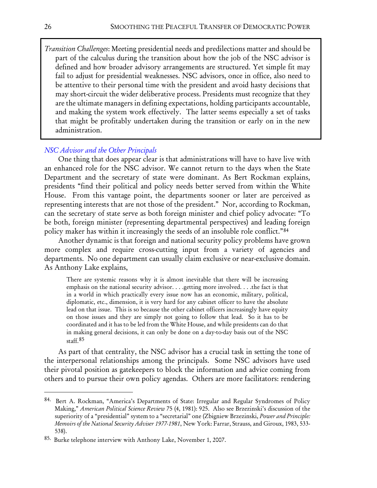*Transition Challenges*: Meeting presidential needs and predilections matter and should be part of the calculus during the transition about how the job of the NSC advisor is defined and how broader advisory arrangements are structured. Yet simple fit may fail to adjust for presidential weaknesses. NSC advisors, once in office, also need to be attentive to their personal time with the president and avoid hasty decisions that may short-circuit the wider deliberative process. Presidents must recognize that they are the ultimate managers in defining expectations, holding participants accountable, and making the system work effectively. The latter seems especially a set of tasks that might be profitably undertaken during the transition or early on in the new administration.

#### <span id="page-31-0"></span>*NSC Advisor and the Other Principals*

One thing that does appear clear is that administrations will have to have live with an enhanced role for the NSC advisor. We cannot return to the days when the State Department and the secretary of state were dominant. As Bert Rockman explains, presidents "find their political and policy needs better served from within the White House. From this vantage point, the departments sooner or later are perceived as representing interests that are not those of the president." Nor, according to Rockman, can the secretary of state serve as both foreign minister and chief policy advocate: "To be both, foreign minister (representing departmental perspectives) and leading foreign policy maker has within it increasingly the seeds of an insoluble role conflict.["84](#page-31-1)

Another dynamic is that foreign and national security policy problems have grown more complex and require cross-cutting input from a variety of agencies and departments. No one department can usually claim exclusive or near-exclusive domain. As Anthony Lake explains,

There are systemic reasons why it is almost inevitable that there will be increasing emphasis on the national security advisor. . . .getting more involved. . . .the fact is that in a world in which practically every issue now has an economic, military, political, diplomatic, etc., dimension, it is very hard for any cabinet officer to have the absolute lead on that issue. This is so because the other cabinet officers increasingly have equity on those issues and they are simply not going to follow that lead. So it has to be coordinated and it has to be led from the White House, and while presidents can do that in making general decisions, it can only be done on a day-to-day basis out of the NSC staff.[85](#page-31-2)

As part of that centrality, the NSC advisor has a crucial task in setting the tone of the interpersonal relationships among the principals. Some NSC advisors have used their pivotal position as gatekeepers to block the information and advice coming from others and to pursue their own policy agendas. Others are more facilitators: rendering

<span id="page-31-1"></span> <sup>84.</sup> Bert A. Rockman, "America's Departments of State: Irregular and Regular Syndromes of Policy Making," *American Political Science Review* 75 (4, 1981): 925. Also see Brzezinski's discussion of the superiority of a "presidential" system to a "secretarial" one (Zbigniew Brzezinski, *Power and Principle: Memoirs of the National Security Adviser 1977-1981*, New York: Farrar, Strauss, and Giroux, 1983, 533- 538).

<span id="page-31-2"></span><sup>85.</sup> Burke telephone interview with Anthony Lake, November 1, 2007.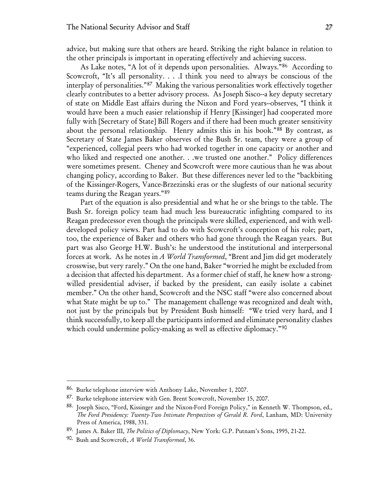advice, but making sure that others are heard. Striking the right balance in relation to the other principals is important in operating effectively and achieving success.

As Lake notes, "A lot of it depends upon personalities. Always."[86](#page-32-0) According to Scowcroft, "It's all personality. . . . I think you need to always be conscious of the interplay of personalities."[87](#page-32-1) Making the various personalities work effectively together clearly contributes to a better advisory process. As Joseph Sisco--a key deputy secretary of state on Middle East affairs during the Nixon and Ford years--observes, "I think it would have been a much easier relationship if Henry [Kissinger] had cooperated more fully with [Secretary of State] Bill Rogers and if there had been much greater sensitivity about the personal relationship. Henry admits this in his book."[88](#page-32-2) By contrast, as Secretary of State James Baker observes of the Bush Sr. team, they were a group of "experienced, collegial peers who had worked together in one capacity or another and who liked and respected one another. . .we trusted one another." Policy differences were sometimes present. Cheney and Scowcroft were more cautious than he was about changing policy, according to Baker. But these differences never led to the "backbiting of the Kissinger-Rogers, Vance-Brzezinski eras or the slugfests of our national security teams during the Reagan years."[89](#page-32-3) 

Part of the equation is also presidential and what he or she brings to the table. The Bush Sr. foreign policy team had much less bureaucratic infighting compared to its Reagan predecessor even though the principals were skilled, experienced, and with welldeveloped policy views. Part had to do with Scowcroft's conception of his role; part, too, the experience of Baker and others who had gone through the Reagan years. But part was also George H.W. Bush's: he understood the institutional and interpersonal forces at work. As he notes in *A World Transformed*, "Brent and Jim did get moderately crosswise, but very rarely." On the one hand, Baker "worried he might be excluded from a decision that affected his department. As a former chief of staff, he knew how a strongwilled presidential adviser, if backed by the president, can easily isolate a cabinet member." On the other hand, Scowcroft and the NSC staff "were also concerned about what State might be up to." The management challenge was recognized and dealt with, not just by the principals but by President Bush himself: "We tried very hard, and I think successfully, to keep all the participants informed and eliminate personality clashes which could undermine policy-making as well as effective diplomacy."<sup>[90](#page-32-4)</sup>

<span id="page-32-0"></span> <sup>86.</sup> Burke telephone interview with Anthony Lake, November 1, 2007.

<span id="page-32-1"></span><sup>87.</sup> Burke telephone interview with Gen. Brent Scowcroft, November 15, 2007.

<span id="page-32-2"></span><sup>88.</sup> Joseph Sisco, "Ford, Kissinger and the Nixon-Ford Foreign Policy," in Kenneth W. Thompson, ed., *The Ford Presidency: Twenty-Two Intimate Perspectives of Gerald R. Ford*, Lanham, MD: University Press of America, 1988, 331.

<span id="page-32-3"></span><sup>89.</sup> James A. Baker III, *The Politics of Diplomacy*, New York: G.P. Putnam's Sons, 1995, 21-22.

<span id="page-32-4"></span><sup>90.</sup> Bush and Scowcroft, *A World Transformed*, 36.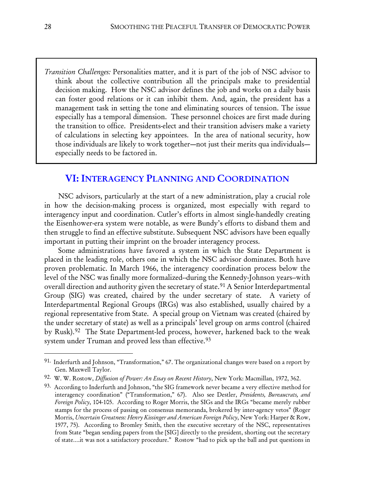*Transition Challenges:* Personalities matter, and it is part of the job of NSC advisor to think about the collective contribution all the principals make to presidential decision making. How the NSC advisor defines the job and works on a daily basis can foster good relations or it can inhibit them. And, again, the president has a management task in setting the tone and eliminating sources of tension. The issue especially has a temporal dimension. These personnel choices are first made during the transition to office. Presidents-elect and their transition advisers make a variety of calculations in selecting key appointees. In the area of national security, how those individuals are likely to work together—not just their merits qua individuals especially needs to be factored in.

## <span id="page-33-0"></span>VI: INTERAGENCY PLANNING AND COORDINATION

NSC advisors, particularly at the start of a new administration, play a crucial role in how the decision-making process is organized, most especially with regard to interagency input and coordination. Cutler's efforts in almost single-handedly creating the Eisenhower-era system were notable, as were Bundy's efforts to disband them and then struggle to find an effective substitute. Subsequent NSC advisors have been equally important in putting their imprint on the broader interagency process.

Some administrations have favored a system in which the State Department is placed in the leading role, others one in which the NSC advisor dominates. Both have proven problematic. In March 1966, the interagency coordination process below the level of the NSC was finally more formalized--during the Kennedy-Johnson years--with overall direction and authority given the secretary of state.<sup>[91](#page-33-1)</sup> A Senior Interdepartmental Group (SIG) was created, chaired by the under secretary of state. A variety of Interdepartmental Regional Groups (IRGs) was also established, usually chaired by a regional representative from State. A special group on Vietnam was created (chaired by the under secretary of state) as well as a principals' level group on arms control (chaired by Rusk).[92](#page-33-2) The State Department-led process, however, harkened back to the weak system under Truman and proved less than effective.<sup>93</sup>

<span id="page-33-1"></span> <sup>91.</sup> Inderfurth and Johnson, "Transformation," 67. The organizational changes were based on a report by Gen. Maxwell Taylor.

<span id="page-33-3"></span><span id="page-33-2"></span><sup>92.</sup> W. W. Rostow, *Diffusion of Power: An Essay on Recent History*, New York: Macmillan, 1972, 362.

<sup>&</sup>lt;sup>93.</sup> According to Inderfurth and Johnson, "the SIG framework never became a very effective method for interagency coordination" ("Transformation," 67). Also see Destler, *Presidents, Bureaucrats, and Foreign Policy*, 104-105. According to Roger Morris, the SIGs and the IRGs "became merely rubber stamps for the process of passing on consensus memoranda, brokered by inter-agency vetos" (Roger Morris, *Uncertain Greatness: Henry Kissinger and American Foreign Policy*, New York: Harper & Row, 1977, 75). According to Bromley Smith, then the executive secretary of the NSC, representatives from State "began sending papers from the [SIG] directly to the president, shorting out the secretary of state….it was not a satisfactory procedure." Rostow "had to pick up the ball and put questions in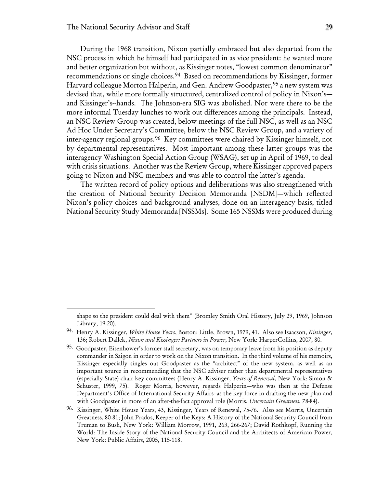$\overline{a}$ 

During the 1968 transition, Nixon partially embraced but also departed from the NSC process in which he himself had participated in as vice president: he wanted more and better organization but without, as Kissinger notes, "lowest common denominator" recommendations or single choices.[94](#page-34-0) Based on recommendations by Kissinger, former Harvard colleague Morton Halperin, and Gen. Andrew Goodpaster, <sup>[95](#page-34-1)</sup> a new system was devised that, while more formally structured, centralized control of policy in Nixon's and Kissinger's--hands. The Johnson-era SIG was abolished. Nor were there to be the more informal Tuesday lunches to work out differences among the principals. Instead, an NSC Review Group was created, below meetings of the full NSC, as well as an NSC Ad Hoc Under Secretary's Committee, below the NSC Review Group, and a variety of inter-agency regional groups.[96](#page-34-2) Key committees were chaired by Kissinger himself, not by departmental representatives. Most important among these latter groups was the interagency Washington Special Action Group (WSAG), set up in April of 1969, to deal with crisis situations. Another was the Review Group, where Kissinger approved papers going to Nixon and NSC members and was able to control the latter's agenda.

The written record of policy options and deliberations was also strengthened with the creation of National Security Decision Memoranda [NSDM]—which reflected Nixon's policy choices--and background analyses, done on an interagency basis, titled National Security Study Memoranda [NSSMs]. Some 165 NSSMs were produced during

shape so the president could deal with them" (Bromley Smith Oral History, July 29, 1969, Johnson Library, 19-20).

<span id="page-34-0"></span><sup>94.</sup> Henry A. Kissinger, *White House Years*, Boston: Little, Brown, 1979, 41. Also see Isaacson, *Kissinger*, 136; Robert Dallek, *Nixon and Kissinger: Partners in Power*, New York: HarperCollins, 2007, 80.

<span id="page-34-1"></span><sup>&</sup>lt;sup>95.</sup> Goodpaster, Eisenhower's former staff secretary, was on temporary leave from his position as deputy commander in Saigon in order to work on the Nixon transition. In the third volume of his memoirs, Kissinger especially singles out Goodpaster as the "architect" of the new system, as well as an important source in recommending that the NSC adviser rather than departmental representatives (especially State) chair key committees (Henry A. Kissinger, *Years of Renewal*, New York: Simon & Schuster, 1999, 75). Roger Morris, however, regards Halperin—who was then at the Defense Department's Office of International Security Affairs--as the key force in drafting the new plan and with Goodpaster in more of an after-the-fact approval role (Morris, *Uncertain Greatness*, 78-84).

<span id="page-34-2"></span><sup>96.</sup> Kissinger, White House Years, 43, Kissinger, Years of Renewal, 75-76. Also see Morris, Uncertain Greatness, 80-81; John Prados, Keeper of the Keys: A History of the National Security Council from Truman to Bush, New York: William Morrow, 1991, 263, 266-267; David Rothkopf, Running the World: The Inside Story of the National Security Council and the Architects of American Power, New York: Public Affairs, 2005, 115-118.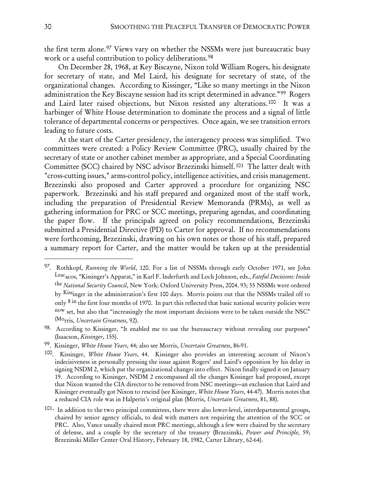the first term alone.[97](#page-35-0) Views vary on whether the NSSMs were just bureaucratic busy work or a useful contribution to policy deliberations.<sup>[98](#page-35-1)</sup>

On December 28, 1968, at Key Biscayne, Nixon told William Rogers, his designate for secretary of state, and Mel Laird, his designate for secretary of state, of the organizational changes. According to Kissinger, "Like so many meetings in the Nixon administration the Key Biscayne session had its script determined in advance."[99](#page-35-2) Rogers and Laird later raised objections, but Nixon resisted any alterations.[100](#page-35-3) It was a harbinger of White House determination to dominate the process and a signal of little tolerance of departmental concerns or perspectives. Once again, we see transition errors leading to future costs.

At the start of the Carter presidency, the interagency process was simplified. Two committees were created: a Policy Review Committee (PRC), usually chaired by the secretary of state or another cabinet member as appropriate, and a Special Coordinating Committee (SCC) chaired by NSC advisor Brzezinski himself.[101](#page-35-4) The latter dealt with "cross-cutting issues," arms-control policy, intelligence activities, and crisis management. Brzezinski also proposed and Carter approved a procedure for organizing NSC paperwork. Brzezinski and his staff prepared and organized most of the staff work, including the preparation of Presidential Review Memoranda (PRMs), as well as gathering information for PRC or SCC meetings, preparing agendas, and coordinating the paper flow. If the principals agreed on policy recommendations, Brzezinski submitted a Presidential Directive (PD) to Carter for approval. If no recommendations were forthcoming, Brzezinski, drawing on his own notes or those of his staff, prepared a summary report for Carter, and the matter would be taken up at the presidential

<span id="page-35-0"></span> <sup>97.</sup> Rothkopf, *Running the World*, 120. For a list of NSSMs through early October 1971, see John Leacacos, "Kissinger's Apparat," in Karl F. Inderfurth and Loch Johnson, eds., *Fateful Decisions: Inside*  the *National Security Council*, New York: Oxford University Press, 2004. 93; 55 NSSMs were ordered by Kissinger in the administration's first 100 days. Morris points out that the NSSMs trailed off to only 8 in the first four months of 1970. In part this reflected that basic national security policies were now set, but also that "increasingly the most important decisions were to be taken outside the NSC" (Morris, *Uncertain Greatness*, 92).

<span id="page-35-1"></span><sup>98.</sup> According to Kissinger, "It enabled me to use the bureaucracy without revealing our purposes" (Isaacson, *Kissinger*, 155).

<span id="page-35-2"></span><sup>99.</sup> Kissinger, *White House Years*, 44; also see Morris, *Uncertain Greatness*, 86-91.

<span id="page-35-3"></span><sup>100.</sup> Kissinger, *White House Years*, 44. Kissinger also provides an interesting account of Nixon's indecisiveness in personally pressing the issue against Rogers' and Laird's opposition by his delay in signing NSDM 2, which put the organizational changes into effect. Nixon finally signed it on January 19. According to Kissinger, NSDM 2 encompassed all the changes Kissinger had proposed, except that Nixon wanted the CIA director to be removed from NSC meetings—an exclusion that Laird and Kissinger eventually got Nixon to rescind (see Kissinger, *White House Years*, 44-47). Morris notes that a reduced CIA role was in Halperin's original plan (Morris, *Uncertain Greatness*, 81, 88).

<span id="page-35-4"></span><sup>101.</sup> In addition to the two principal committees, there were also lower-level, interdepartmental groups, chaired by senior agency officials, to deal with matters not requiring the attention of the SCC or PRC. Also, Vance usually chaired most PRC meetings, although a few were chaired by the secretary of defense, and a couple by the secretary of the treasury (Brzezinski, *Power and Principle*, 59; Brzezinski Miller Center Oral History, February 18, 1982, Carter Library, 62-64).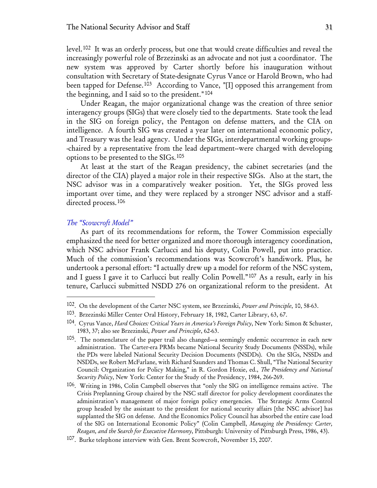level.[102](#page-36-1) It was an orderly process, but one that would create difficulties and reveal the increasingly powerful role of Brzezinski as an advocate and not just a coordinator. The new system was approved by Carter shortly before his inauguration without consultation with Secretary of State-designate Cyrus Vance or Harold Brown, who had been tapped for Defense.[103](#page-36-2) According to Vance, "[I] opposed this arrangement from the beginning, and I said so to the president."[104](#page-36-3)

Under Reagan, the major organizational change was the creation of three senior interagency groups (SIGs) that were closely tied to the departments. State took the lead in the SIG on foreign policy, the Pentagon on defense matters, and the CIA on intelligence. A fourth SIG was created a year later on international economic policy, and Treasury was the lead agency. Under the SIGs, interdepartmental working groups- -chaired by a representative from the lead department--were charged with developing options to be presented to the SIGs.[105](#page-36-4)

At least at the start of the Reagan presidency, the cabinet secretaries (and the director of the CIA) played a major role in their respective SIGs. Also at the start, the NSC advisor was in a comparatively weaker position. Yet, the SIGs proved less important over time, and they were replaced by a stronger NSC advisor and a staffdirected process.[106](#page-36-5)

#### <span id="page-36-0"></span>*The "Scowcroft Model"*

As part of its recommendations for reform, the Tower Commission especially emphasized the need for better organized and more thorough interagency coordination, which NSC advisor Frank Carlucci and his deputy, Colin Powell, put into practice. Much of the commission's recommendations was Scowcroft's handiwork. Plus, he undertook a personal effort: "I actually drew up a model for reform of the NSC system, and I guess I gave it to Carlucci but really Colin Powell."[107](#page-36-6) As a result, early in his tenure, Carlucci submitted NSDD 276 on organizational reform to the president. At

<span id="page-36-1"></span> <sup>102.</sup> On the development of the Carter NSC system, see Brzezinski, *Power and Principle*, 10, 58-63.

<span id="page-36-2"></span><sup>103.</sup> Brzezinski Miller Center Oral History, February 18, 1982, Carter Library, 63, 67.

<span id="page-36-3"></span><sup>104.</sup> Cyrus Vance, *Hard Choices: Critical Years in America's Foreign Policy*, New York: Simon & Schuster, 1983, 37; also see Brzezinski, *Power and Principle*, 62-63.

<span id="page-36-4"></span><sup>105.</sup> The nomenclature of the paper trail also changed—a seemingly endemic occurrence in each new administration. The Carter-era PRMs became National Security Study Documents (NSSDs), while the PDs were labeled National Security Decision Documents (NSDDs). On the SIGs, NSSDs and NSDDs, see Robert McFarlane, with Richard Saunders and Thomas C. Shull, "The National Security Council: Organization for Policy Making," in R. Gordon Hoxie, ed., *The Presidency and National Security Policy*, New York: Center for the Study of the Presidency, 1984, 266-269.

<span id="page-36-5"></span><sup>106.</sup> Writing in 1986, Colin Campbell observes that "only the SIG on intelligence remains active. The Crisis Preplanning Group chaired by the NSC staff director for policy development coordinates the administration's management of major foreign policy emergencies. The Strategic Arms Control group headed by the assistant to the president for national security affairs [the NSC advisor] has supplanted the SIG on defense. And the Economics Policy Council has absorbed the entire case load of the SIG on International Economic Policy" (Colin Campbell, *Managing the Presidency: Carter, Reagan, and the Search for Executive Harmony*, Pittsburgh: University of Pittsburgh Press, 1986, 43).

<span id="page-36-6"></span><sup>107.</sup> Burke telephone interview with Gen. Brent Scowcroft, November 15, 2007.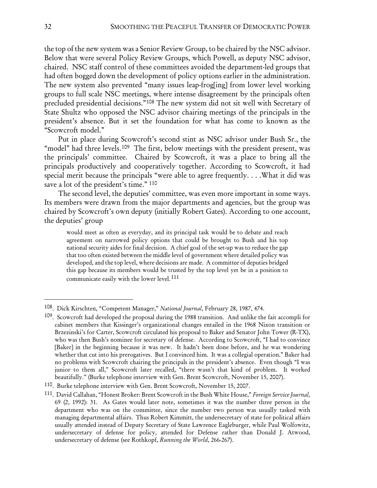the top of the new system was a Senior Review Group, to be chaired by the NSC advisor. Below that were several Policy Review Groups, which Powell, as deputy NSC advisor, chaired. NSC staff control of these committees avoided the department-led groups that had often bogged down the development of policy options earlier in the administration. The new system also prevented "many issues leap-frog[ing] from lower level working groups to full scale NSC meetings, where intense disagreement by the principals often precluded presidential decisions."[108](#page-37-0) The new system did not sit well with Secretary of State Shultz who opposed the NSC advisor chairing meetings of the principals in the president's absence. But it set the foundation for what has come to known as the "Scowcroft model."

Put in place during Scowcroft's second stint as NSC advisor under Bush Sr., the "model" had three levels.<sup>[109](#page-37-1)</sup> The first, below meetings with the president present, was the principals' committee. Chaired by Scowcroft, it was a place to bring all the principals productively and cooperatively together. According to Scowcroft, it had special merit because the principals "were able to agree frequently. . . .What it did was save a lot of the president's time." [110](#page-37-2)

The second level, the deputies' committee, was even more important in some ways. Its members were drawn from the major departments and agencies, but the group was chaired by Scowcroft's own deputy (initially Robert Gates). According to one account, the deputies' group

would meet as often as everyday, and its principal task would be to debate and reach agreement on narrowed policy options that could be brought to Bush and his top national security aides for final decision. A chief goal of the set-up was to reduce the gap that too often existed between the middle level of government where detailed policy was developed, and the top level, where decisions are made. A committee of deputies bridged this gap because its members would be trusted by the top level yet be in a position to communicate easily with the lower level.<sup>111</sup>

<span id="page-37-0"></span> <sup>108.</sup> Dick Kirschten, "Competent Manager," *National Journal*, February 28, 1987, 474.

<span id="page-37-1"></span><sup>109.</sup> Scowcroft had developed the proposal during the 1988 transition. And unlike the fait accompli for cabinet members that Kissinger's organizational changes entailed in the 1968 Nixon transition or Brzezinski's for Carter, Scowcroft circulated his proposal to Baker and Senator John Tower (R-TX), who was then Bush's nominee for secretary of defense. According to Scowcroft, "I had to convince [Baker] in the beginning because it was new. It hadn't been done before, and he was wondering whether that cut into his prerogatives. But I convinced him. It was a collegial operation." Baker had no problems with Scowcroft chairing the principals in the president's absence. Even though "I was junior to them all," Scowcroft later recalled, "there wasn't that kind of problem. It worked beautifully." (Burke telephone interview with Gen. Brent Scowcroft, November 15, 2007).

<span id="page-37-2"></span><sup>110.</sup> Burke telephone interview with Gen. Brent Scowcroft, November 15, 2007.

<span id="page-37-3"></span><sup>111.</sup> David Callahan, "Honest Broker: Brent Scowcroft in the Bush White House," *Foreign Service Journal,* 69 (2, 1992): 31. As Gates would later note, sometimes it was the number three person in the department who was on the committee, since the number two person was usually tasked with managing departmental affairs. Thus Robert Kimmitt, the undersecretary of state for political affairs usually attended instead of Deputy Secretary of State Lawrence Eagleburger, while Paul Wolfowitz, undersecretary of defense for policy, attended for Defense rather than Donald J. Atwood, undersecretary of defense (see Rothkopf, *Running the World*, 266-267).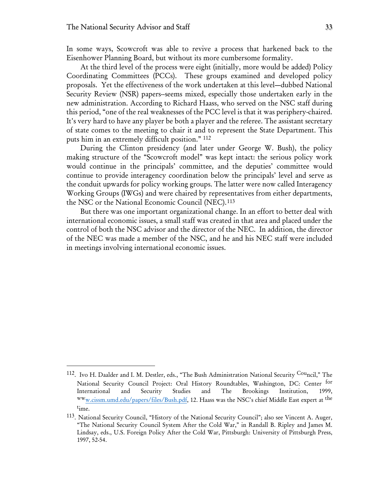In some ways, Scowcroft was able to revive a process that harkened back to the Eisenhower Planning Board, but without its more cumbersome formality.

At the third level of the process were eight (initially, more would be added) Policy Coordinating Committees (PCCs). These groups examined and developed policy proposals. Yet the effectiveness of the work undertaken at this level—dubbed National Security Review (NSR) papers--seems mixed, especially those undertaken early in the new administration. According to Richard Haass, who served on the NSC staff during this period, "one of the real weaknesses of the PCC level is that it was periphery-chaired. It's very hard to have any player be both a player and the referee. The assistant secretary of state comes to the meeting to chair it and to represent the State Department. This puts him in an extremely difficult position." [112](#page-38-0)

During the Clinton presidency (and later under George W. Bush), the policy making structure of the "Scowcroft model" was kept intact: the serious policy work would continue in the principals' committee, and the deputies' committee would continue to provide interagency coordination below the principals' level and serve as the conduit upwards for policy working groups. The latter were now called Interagency Working Groups (IWGs) and were chaired by representatives from either departments, the NSC or the National Economic Council (NEC).[113](#page-38-1) 

But there was one important organizational change. In an effort to better deal with international economic issues, a small staff was created in that area and placed under the control of both the NSC advisor and the director of the NEC. In addition, the director of the NEC was made a member of the NSC, and he and his NEC staff were included in meetings involving international economic issues.

<span id="page-38-0"></span><sup>&</sup>lt;sup>112</sup>. Ivo H. Daalder and I. M. Destler, eds., "The Bush Administration National Security Council," The National Security Council Project: Oral History Roundtables, Washington, DC: Center for International and Security Studies and The Brookings Institution, 1999, [www.cissm.umd.edu/papers/files/Bush.pdf,](http://www.cissm.umd.edu/papers/files/Bush.pdf) 12. Haass was the NSC's chief Middle East expert at the t ime.

<span id="page-38-1"></span><sup>113.</sup> National Security Council, "History of the National Security Council"; also see Vincent A. Auger, "The National Security Council System After the Cold War," in Randall B. Ripley and James M. Lindsay, eds., U.S. Foreign Policy After the Cold War, Pittsburgh: University of Pittsburgh Press, 1997, 52-54.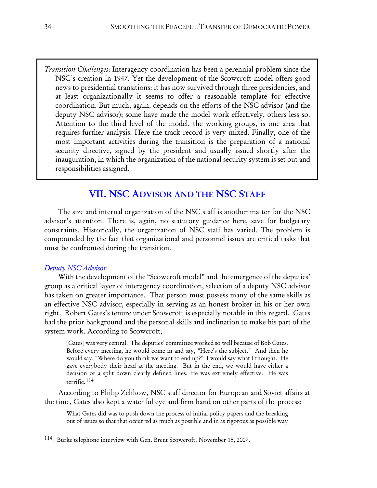*Transition Challenges*: Interagency coordination has been a perennial problem since the NSC's creation in 1947. Yet the development of the Scowcroft model offers good news to presidential transitions: it has now survived through three presidencies, and at least organizationally it seems to offer a reasonable template for effective coordination. But much, again, depends on the efforts of the NSC advisor (and the deputy NSC advisor); some have made the model work effectively, others less so. Attention to the third level of the model, the working groups, is one area that requires further analysis. Here the track record is very mixed. Finally, one of the most important activities during the transition is the preparation of a national security directive, signed by the president and usually issued shortly after the inauguration, in which the organization of the national security system is set out and responsibilities assigned.

## VII. NSC ADVISOR AND THE NSC STAFF

<span id="page-39-0"></span>The size and internal organization of the NSC staff is another matter for the NSC advisor's attention. There is, again, no statutory guidance here, save for budgetary constraints. Historically, the organization of NSC staff has varied. The problem is compounded by the fact that organizational and personnel issues are critical tasks that must be confronted during the transition.

#### <span id="page-39-1"></span>*Deputy NSC Advisor*

With the development of the "Scowcroft model" and the emergence of the deputies' group as a critical layer of interagency coordination, selection of a deputy NSC advisor has taken on greater importance. That person must possess many of the same skills as an effective NSC advisor, especially in serving as an honest broker in his or her own right. Robert Gates's tenure under Scowcroft is especially notable in this regard. Gates had the prior background and the personal skills and inclination to make his part of the system work. According to Scowcroft,

[Gates] was very central. The deputies' committee worked so well because of Bob Gates. Before every meeting, he would come in and say, "Here's the subject." And then he would say, "Where do you think we want to end up?" I would say what I thought. He gave everybody their head at the meeting. But in the end, we would have either a decision or a split down clearly defined lines. He was extremely effective. He was terrific.[114](#page-39-2)

According to Philip Zelikow, NSC staff director for European and Soviet affairs at the time, Gates also kept a watchful eye and firm hand on other parts of the process:

What Gates did was to push down the process of initial policy papers and the breaking out of issues so that that occurred as much as possible and in as rigorous as possible way

<span id="page-39-2"></span> <sup>114.</sup> Burke telephone interview with Gen. Brent Scowcroft, November 15, 2007.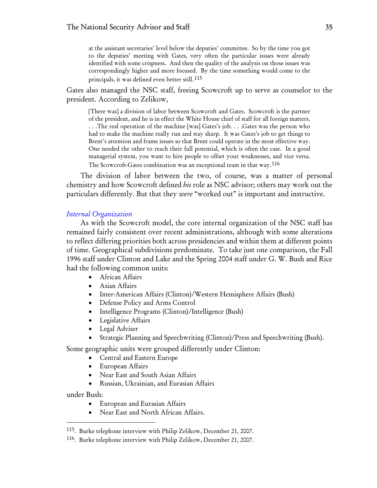at the assistant secretaries' level below the deputies' committee. So by the time you got to the deputies' meeting with Gates, very often the particular issues were already identified with some crispness. And then the quality of the analysis on those issues was correspondingly higher and more focused. By the time something would come to the principals, it was defined even better still.<sup>[115](#page-40-1)</sup>

Gates also managed the NSC staff, freeing Scowcroft up to serve as counselor to the president. According to Zelikow,

[There was] a division of labor between Scowcroft and Gates. Scowcroft is the partner of the president, and he is in effect the White House chief of staff for all foreign matters. . . .The real operation of the machine [was] Gates's job. . . .Gates was the person who had to make the machine really run and stay sharp. It was Gates's job to get things to Brent's attention and frame issues so that Brent could operate in the most effective way. One needed the other to reach their full potential, which is often the case. In a good managerial system, you want to hire people to offset your weaknesses, and vice versa. The Scowcroft-Gates combination was an exceptional team in that way.<sup>[116](#page-40-2)</sup>

The division of labor between the two, of course, was a matter of personal chemistry and how Scowcroft defined *his* role as NSC advisor; others may work out the particulars differently. But that they *were* "worked out" is important and instructive.

#### <span id="page-40-0"></span>*Internal Organization*

As with the Scowcroft model, the core internal organization of the NSC staff has remained fairly consistent over recent administrations, although with some alterations to reflect differing priorities both across presidencies and within them at different points of time. Geographical subdivisions predominate. To take just one comparison, the Fall 1996 staff under Clinton and Lake and the Spring 2004 staff under G. W. Bush and Rice had the following common units:

- African Affairs
- Asian Affairs
- Inter-American Affairs (Clinton)/Western Hemisphere Affairs (Bush)
- Defense Policy and Arms Control
- Intelligence Programs (Clinton)/Intelligence (Bush)
- Legislative Affairs
- Legal Adviser
- Strategic Planning and Speechwriting (Clinton)/Press and Speechwriting (Bush).

Some geographic units were grouped differently under Clinton:

- Central and Eastern Europe
- European Affairs
- Near East and South Asian Affairs
- Russian, Ukrainian, and Eurasian Affairs

under Bush:

- European and Eurasian Affairs
- Near East and North African Affairs.

<span id="page-40-1"></span> <sup>115.</sup> Burke telephone interview with Philip Zelikow, December 21, 2007.

<span id="page-40-2"></span><sup>116.</sup> Burke telephone interview with Philip Zelikow, December 21, 2007.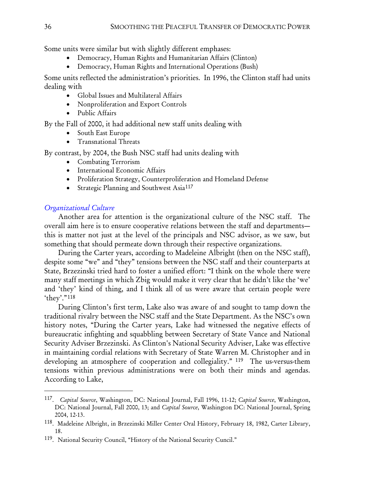Some units were similar but with slightly different emphases:

- Democracy, Human Rights and Humanitarian Affairs (Clinton)
- Democracy, Human Rights and International Operations (Bush)

Some units reflected the administration's priorities. In 1996, the Clinton staff had units dealing with

- Global Issues and Multilateral Affairs
- Nonproliferation and Export Controls
- Public Affairs

By the Fall of 2000, it had additional new staff units dealing with

- South East Europe
- Transnational Threats

By contrast, by 2004, the Bush NSC staff had units dealing with

- Combating Terrorism
- International Economic Affairs
- Proliferation Strategy, Counterproliferation and Homeland Defense
- Strategic Planning and Southwest Asia<sup>[117](#page-41-1)</sup>

#### <span id="page-41-0"></span>*Organizational Culture*

Another area for attention is the organizational culture of the NSC staff. The overall aim here is to ensure cooperative relations between the staff and departments this is matter not just at the level of the principals and NSC advisor, as we saw, but something that should permeate down through their respective organizations.

During the Carter years, according to Madeleine Albright (then on the NSC staff), despite some "we" and "they" tensions between the NSC staff and their counterparts at State, Brzezinski tried hard to foster a unified effort: "I think on the whole there were many staff meetings in which Zbig would make it very clear that he didn't like the 'we' and 'they' kind of thing, and I think all of us were aware that certain people were 'they'."[118](#page-41-2)

During Clinton's first term, Lake also was aware of and sought to tamp down the traditional rivalry between the NSC staff and the State Department. As the NSC's own history notes, "During the Carter years, Lake had witnessed the negative effects of bureaucratic infighting and squabbling between Secretary of State Vance and National Security Adviser Brzezinski. As Clinton's National Security Adviser, Lake was effective in maintaining cordial relations with Secretary of State Warren M. Christopher and in developing an atmosphere of cooperation and collegiality." [119](#page-41-3) The us-versus-them tensions within previous administrations were on both their minds and agendas. According to Lake,

<span id="page-41-1"></span> <sup>117.</sup> *Capital Source*, Washington, DC: National Journal, Fall 1996, 11-12; *Capital Source*, Washington, DC: National Journal, Fall 2000, 13; and *Capital Source*, Washington DC: National Journal, Spring 2004, 12-13.

<span id="page-41-2"></span><sup>118.</sup> Madeleine Albright, in Brzezinski Miller Center Oral History, February 18, 1982, Carter Library, 18.

<span id="page-41-3"></span><sup>119.</sup> National Security Council, "History of the National Security Cuncil."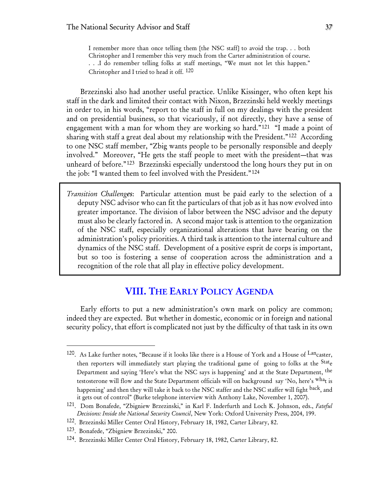I remember more than once telling them [the NSC staff] to avoid the trap. . . both Christopher and I remember this very much from the Carter administration of course. . . .I do remember telling folks at staff meetings, "We must not let this happen." Christopher and I tried to head it off. [120](#page-42-1)

Brzezinski also had another useful practice. Unlike Kissinger, who often kept his staff in the dark and limited their contact with Nixon, Brzezinski held weekly meetings in order to, in his words, "report to the staff in full on my dealings with the president and on presidential business, so that vicariously, if not directly, they have a sense of engagement with a man for whom they are working so hard."[121](#page-42-2) "I made a point of sharing with staff a great deal about my relationship with the President."<sup>122</sup> According to one NSC staff member, "Zbig wants people to be personally responsible and deeply involved." Moreover, "He gets the staff people to meet with the president—that was unheard of before."[123](#page-42-4) Brzezinski especially understood the long hours they put in on the job: "I wanted them to feel involved with the President."[124](#page-42-5)

*Transition Challenges*: Particular attention must be paid early to the selection of a deputy NSC advisor who can fit the particulars of that job as it has now evolved into greater importance. The division of labor between the NSC advisor and the deputy must also be clearly factored in. A second major task is attention to the organization of the NSC staff, especially organizational alterations that have bearing on the administration's policy priorities. A third task is attention to the internal culture and dynamics of the NSC staff. Development of a positive esprit de corps is important, but so too is fostering a sense of cooperation across the administration and a recognition of the role that all play in effective policy development.

### VIII. THE EARLY POLICY AGENDA

<span id="page-42-0"></span>Early efforts to put a new administration's own mark on policy are common; indeed they are expected. But whether in domestic, economic or in foreign and national security policy, that effort is complicated not just by the difficulty of that task in its own

<span id="page-42-1"></span> <sup>120.</sup> As Lake further notes, "Because if it looks like there is a House of York and a House of Lancaster, then reporters will immediately start playing the traditional game of going to folks at the State Department and saying 'Here's what the NSC says is happening' and at the State Department, the testosterone will flow and the State Department officials will on background say 'No, here's what is happening' and then they will take it back to the NSC staffer and the NSC staffer will fight <sup>back</sup>, and it gets out of control" (Burke telephone interview with Anthony Lake, November 1, 2007).

<span id="page-42-2"></span><sup>121.</sup> Dom Bonafede, "Zbigniew Brzezinski," in Karl F. Inderfurth and Loch K. Johnson, eds., *Fateful Decisions: Inside the National Security Council*, New York: Oxford University Press, 2004, 199.

<span id="page-42-3"></span><sup>122.</sup> Brzezinski Miller Center Oral History, February 18, 1982, Carter Library, 82.

<span id="page-42-4"></span><sup>123.</sup> Bonafede, "Zbigniew Brzezinski," 200.

<span id="page-42-5"></span><sup>124.</sup> Brzezinski Miller Center Oral History, February 18, 1982, Carter Library, 82.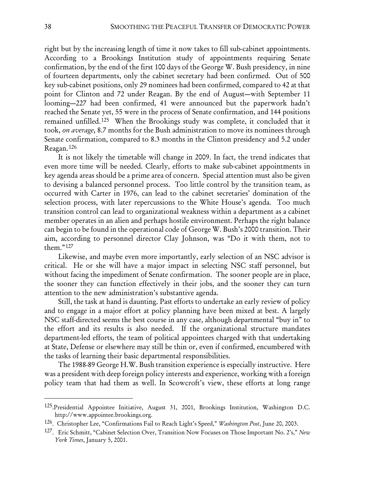right but by the increasing length of time it now takes to fill sub-cabinet appointments. According to a Brookings Institution study of appointments requiring Senate confirmation, by the end of the first 100 days of the George W. Bush presidency, in nine of fourteen departments, only the cabinet secretary had been confirmed. Out of 500 key sub-cabinet positions, only 29 nominees had been confirmed, compared to 42 at that point for Clinton and 72 under Reagan. By the end of August—with September 11 looming—227 had been confirmed, 41 were announced but the paperwork hadn't reached the Senate yet, 55 were in the process of Senate confirmation, and 144 positions remained unfilled.[125](#page-43-0) When the Brookings study was complete, it concluded that it took, *on average*, 8.7 months for the Bush administration to move its nominees through Senate confirmation, compared to 8.3 months in the Clinton presidency and 5.2 under Reagan.[126](#page-43-1)

It is not likely the timetable will change in 2009. In fact, the trend indicates that even more time will be needed. Clearly, efforts to make sub-cabinet appointments in key agenda areas should be a prime area of concern. Special attention must also be given to devising a balanced personnel process. Too little control by the transition team, as occurred with Carter in 1976, can lead to the cabinet secretaries' domination of the selection process, with later repercussions to the White House's agenda. Too much transition control can lead to organizational weakness within a department as a cabinet member operates in an alien and perhaps hostile environment. Perhaps the right balance can begin to be found in the operational code of George W. Bush's 2000 transition. Their aim, according to personnel director Clay Johnson, was "Do it with them, not to them."[127](#page-43-2)

Likewise, and maybe even more importantly, early selection of an NSC advisor is critical. He or she will have a major impact in selecting NSC staff personnel, but without facing the impediment of Senate confirmation. The sooner people are in place, the sooner they can function effectively in their jobs, and the sooner they can turn attention to the new administration's substantive agenda.

Still, the task at hand is daunting. Past efforts to undertake an early review of policy and to engage in a major effort at policy planning have been mixed at best. A largely NSC staff-directed seems the best course in any case, although departmental "buy in" to the effort and its results is also needed. If the organizational structure mandates department-led efforts, the team of political appointees charged with that undertaking at State, Defense or elsewhere may still be thin or, even if confirmed, encumbered with the tasks of learning their basic departmental responsibilities.

The 1988-89 George H.W. Bush transition experience is especially instructive. Here was a president with deep foreign policy interests and experience, working with a foreign policy team that had them as well. In Scowcroft's view, these efforts at long range

<span id="page-43-0"></span> <sup>125.</sup>Presidential Appointee Initiative, August 31, 2001, Brookings Institution, Washington D.C. http://www.appointee.brookings.org.

<span id="page-43-1"></span><sup>126.</sup> Christopher Lee, "Confirmations Fail to Reach Light's Speed," *Washington Post*, June 20, 2003.

<span id="page-43-2"></span><sup>127.</sup> Eric Schmitt, "Cabinet Selection Over, Transition Now Focuses on Those Important No. 2's," *New York Times*, January 5, 2001.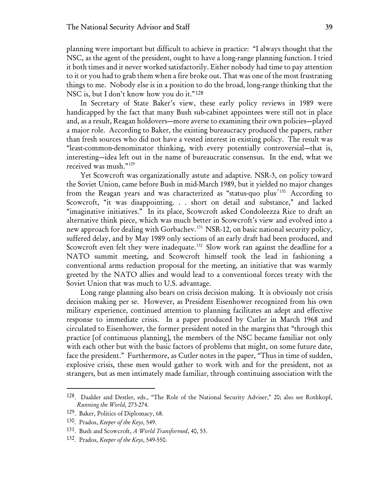planning were important but difficult to achieve in practice: "I always thought that the NSC, as the agent of the president, ought to have a long-range planning function. I tried it both times and it never worked satisfactorily. Either nobody had time to pay attention to it or you had to grab them when a fire broke out. That was one of the most frustrating things to me. Nobody else is in a position to do the broad, long-range thinking that the NSC is, but I don't know how you do it."[128](#page-44-0)

In Secretary of State Baker's view, these early policy reviews in 1989 were handicapped by the fact that many Bush sub-cabinet appointees were still not in place and, as a result, Reagan holdovers—more averse to examining their own policies—played a major role. According to Baker, the existing bureaucracy produced the papers, rather than fresh sources who did not have a vested interest in existing policy. The result was "least-common-denominator thinking, with every potentially controversial—that is, interesting—idea left out in the name of bureaucratic consensus. In the end, what we received was mush."<sup>[129](#page-44-1)</sup>

Yet Scowcroft was organizationally astute and adaptive. NSR-3, on policy toward the Soviet Union, came before Bush in mid-March 1989, but it yielded no major changes from the Reagan years and was characterized as "status-quo plus<sup>"[130](#page-44-2)</sup> According to Scowcroft, "it was disappointing. . . short on detail and substance," and lacked "imaginative initiatives." In its place, Scowcroft asked Condoleezza Rice to draft an alternative think piece, which was much better in Scowcroft's view and evolved into a new approach for dealing with Gorbachev.<sup>[131](#page-44-3)</sup> NSR-12, on basic national security policy, suffered delay, and by May 1989 only sections of an early draft had been produced, and Scowcroft even felt they were inadequate.<sup>[132](#page-44-4)</sup> Slow work ran against the deadline for a NATO summit meeting, and Scowcroft himself took the lead in fashioning a conventional arms reduction proposal for the meeting, an initiative that was warmly greeted by the NATO allies and would lead to a conventional forces treaty with the Soviet Union that was much to U.S. advantage.

Long range planning also bears on crisis decision making. It is obviously not crisis decision making per se. However, as President Eisenhower recognized from his own military experience, continued attention to planning facilitates an adept and effective response to immediate crisis. In a paper produced by Cutler in March 1968 and circulated to Eisenhower, the former president noted in the margins that "through this practice [of continuous planning], the members of the NSC became familiar not only with each other but with the basic factors of problems that might, on some future date, face the president." Furthermore, as Cutler notes in the paper, "Thus in time of sudden, explosive crisis, these men would gather to work with and for the president, not as strangers, but as men intimately made familiar, through continuing association with the

<span id="page-44-0"></span> <sup>128.</sup> Daalder and Destler, eds., "The Role of the National Security Adviser," 20; also see Rothkopf, *Running the World,* 273-274.

<span id="page-44-1"></span><sup>129.</sup> Baker, Politics of Diplomacy, 68.

<span id="page-44-2"></span><sup>130.</sup> Prados, *Keeper of the Keys*, 549.

<span id="page-44-3"></span><sup>131.</sup> Bush and Scowcroft, *A World Transformed*, 40, 53.

<span id="page-44-4"></span><sup>132.</sup> Prados, *Keeper of the Keys*, 549-550.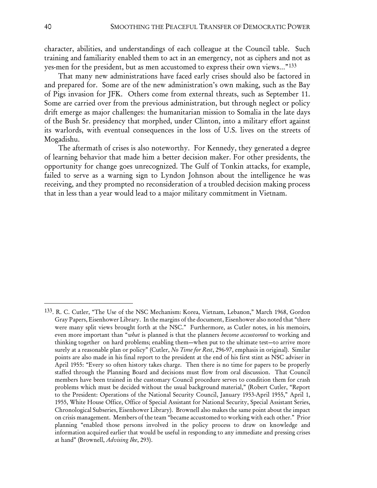character, abilities, and understandings of each colleague at the Council table. Such training and familiarity enabled them to act in an emergency, not as ciphers and not as yes-men for the president, but as men accustomed to express their own views…"[133](#page-45-0)

That many new administrations have faced early crises should also be factored in and prepared for. Some are of the new administration's own making, such as the Bay of Pigs invasion for JFK. Others come from external threats, such as September 11. Some are carried over from the previous administration, but through neglect or policy drift emerge as major challenges: the humanitarian mission to Somalia in the late days of the Bush Sr. presidency that morphed, under Clinton, into a military effort against its warlords, with eventual consequences in the loss of U.S. lives on the streets of Mogadishu.

The aftermath of crises is also noteworthy. For Kennedy, they generated a degree of learning behavior that made him a better decision maker. For other presidents, the opportunity for change goes unrecognized. The Gulf of Tonkin attacks, for example, failed to serve as a warning sign to Lyndon Johnson about the intelligence he was receiving, and they prompted no reconsideration of a troubled decision making process that in less than a year would lead to a major military commitment in Vietnam.

<span id="page-45-0"></span> <sup>133.</sup> R. C. Cutler, "The Use of the NSC Mechanism: Korea, Vietnam, Lebanon," March 1968, Gordon Gray Papers, Eisenhower Library. In the margins of the document, Eisenhower also noted that "there were many split views brought forth at the NSC." Furthermore, as Cutler notes, in his memoirs, even more important than "*what* is planned is that the planners *become accustomed* to working and thinking together on hard problems; enabling them—when put to the ultimate test—to arrive more surely at a reasonable plan or policy" (Cutler, *No Time for Rest*, 296-97, emphasis in original). Similar points are also made in his final report to the president at the end of his first stint as NSC adviser in April 1955: "Every so often history takes charge. Then there is no time for papers to be properly staffed through the Planning Board and decisions must flow from oral discussion. That Council members have been trained in the customary Council procedure serves to condition them for crash problems which must be decided without the usual background material," (Robert Cutler, "Report to the President: Operations of the National Security Council, January 1953-April 1955," April 1, 1955, White House Office, Office of Special Assistant for National Security, Special Assistant Series, Chronological Subseries, Eisenhower Library). Brownell also makes the same point about the impact on crisis management. Members of the team "became accustomed to working with each other." Prior planning "enabled those persons involved in the policy process to draw on knowledge and information acquired earlier that would be useful in responding to any immediate and pressing crises at hand" (Brownell, *Advising Ike*, 293).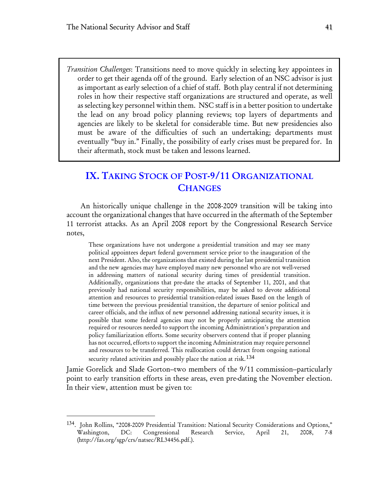*Transition Challenges*: Transitions need to move quickly in selecting key appointees in order to get their agenda off of the ground. Early selection of an NSC advisor is just as important as early selection of a chief of staff. Both play central if not determining roles in how their respective staff organizations are structured and operate, as well as selecting key personnel within them. NSC staff is in a better position to undertake the lead on any broad policy planning reviews; top layers of departments and agencies are likely to be skeletal for considerable time. But new presidencies also must be aware of the difficulties of such an undertaking; departments must eventually "buy in." Finally, the possibility of early crises must be prepared for. In their aftermath, stock must be taken and lessons learned.

# <span id="page-46-0"></span>IX. TAKING STOCK OF POST-9/11 ORGANIZATIONAL **CHANGES**

An historically unique challenge in the 2008-2009 transition will be taking into account the organizational changes that have occurred in the aftermath of the September 11 terrorist attacks. As an April 2008 report by the Congressional Research Service notes,

These organizations have not undergone a presidential transition and may see many political appointees depart federal government service prior to the inauguration of the next President. Also, the organizations that existed during the last presidential transition and the new agencies may have employed many new personnel who are not well-versed in addressing matters of national security during times of presidential transition. Additionally, organizations that pre-date the attacks of September 11, 2001, and that previously had national security responsibilities, may be asked to devote additional attention and resources to presidential transition-related issues Based on the length of time between the previous presidential transition, the departure of senior political and career officials, and the influx of new personnel addressing national security issues, it is possible that some federal agencies may not be properly anticipating the attention required or resources needed to support the incoming Administration's preparation and policy familiarization efforts. Some security observers contend that if proper planning has not occurred, efforts to support the incoming Administration may require personnel and resources to be transferred. This reallocation could detract from ongoing national security related activities and possibly place the nation at risk.<sup>[134](#page-46-1)</sup>

Jamie Gorelick and Slade Gorton--two members of the 9/11 commission--particularly point to early transition efforts in these areas, even pre-dating the November election. In their view, attention must be given to:

<span id="page-46-1"></span> <sup>134.</sup> John Rollins, "2008-2009 Presidential Transition: National Security Considerations and Options," Washington, DC: Congressional Research Service, April 21, 2008, 7-8 (http://fas.org/sgp/crs/natsec/RL34456.pdf.).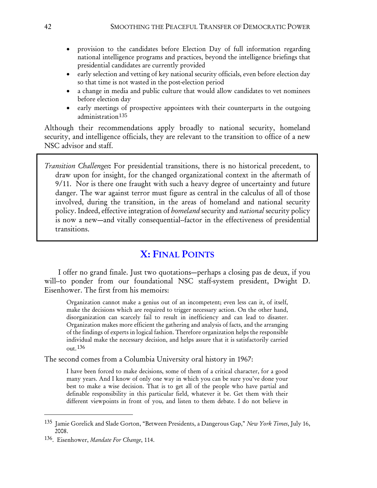- provision to the candidates before Election Day of full information regarding national intelligence programs and practices, beyond the intelligence briefings that presidential candidates are currently provided
- early selection and vetting of key national security officials, even before election day so that time is not wasted in the post-election period
- a change in media and public culture that would allow candidates to vet nominees before election day
- early meetings of prospective appointees with their counterparts in the outgoing administration<sup>[135](#page-47-1)</sup>

Although their recommendations apply broadly to national security, homeland security, and intelligence officials, they are relevant to the transition to office of a new NSC advisor and staff.

*Transition Challenges*: For presidential transitions, there is no historical precedent, to draw upon for insight, for the changed organizational context in the aftermath of 9/11. Nor is there one fraught with such a heavy degree of uncertainty and future danger. The war against terror must figure as central in the calculus of all of those involved, during the transition, in the areas of homeland and national security policy. Indeed, effective integration of *homeland* security and *national* security policy is now a new—and vitally consequential--factor in the effectiveness of presidential transitions.

# X: FINAL POINTS

<span id="page-47-0"></span>I offer no grand finale. Just two quotations—perhaps a closing pas de deux, if you will--to ponder from our foundational NSC staff-system president, Dwight D. Eisenhower. The first from his memoirs:

Organization cannot make a genius out of an incompetent; even less can it, of itself, make the decisions which are required to trigger necessary action. On the other hand, disorganization can scarcely fail to result in inefficiency and can lead to disaster. Organization makes more efficient the gathering and analysis of facts, and the arranging of the findings of experts in logical fashion. Therefore organization helps the responsible individual make the necessary decision, and helps assure that it is satisfactorily carried  $_{\text{out.}}$  [136](#page-47-2)

The second comes from a Columbia University oral history in 1967:

I have been forced to make decisions, some of them of a critical character, for a good many years. And I know of only one way in which you can be sure you've done your best to make a wise decision. That is to get all of the people who have partial and definable responsibility in this particular field, whatever it be. Get them with their different viewpoints in front of you, and listen to them debate. I do not believe in

<span id="page-47-1"></span> <sup>135</sup> Jamie Gorelick and Slade Gorton, "Between Presidents, a Dangerous Gap," *New York Times*, July 16, 2008.

<span id="page-47-2"></span><sup>136.</sup> Eisenhower, *Mandate For Change*, 114.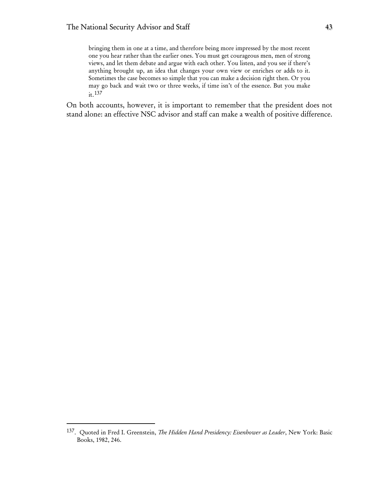bringing them in one at a time, and therefore being more impressed by the most recent one you hear rather than the earlier ones. You must get courageous men, men of strong views, and let them debate and argue with each other. You listen, and you see if there's anything brought up, an idea that changes your own view or enriches or adds to it. Sometimes the case becomes so simple that you can make a decision right then. Or you may go back and wait two or three weeks, if time isn't of the essence. But you make it.[137](#page-48-0)

On both accounts, however, it is important to remember that the president does not stand alone: an effective NSC advisor and staff can make a wealth of positive difference.

<span id="page-48-0"></span> <sup>137.</sup> Quoted in Fred I. Greenstein, *The Hidden Hand Presidency: Eisenhower as Leader*, New York: Basic Books, 1982, 246.